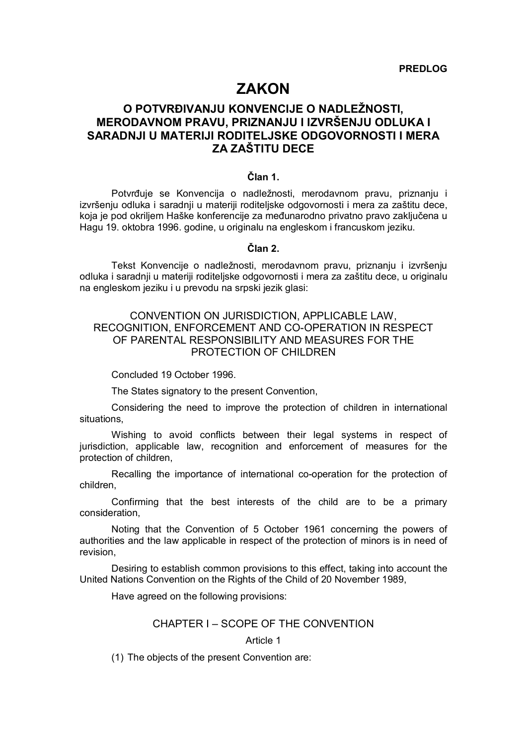# **ZAKON**

# O POTVRĐIVANJU KONVENCIJE O NADLEŽNOSTI, MERODAVNOM PRAVU. PRIZNANJU I IZVRŠENJU ODLUKA I SARADNJI U MATERIJI RODITELJSKE ODGOVORNOSTI I MERA ZA ZAŠTITU DECE

# Član 1.

Potvrđuje se Konvencija o nadležnosti, merodavnom pravu, priznanju i izvršenju odluka i saradnji u materiji roditeljske odgovornosti i mera za zaštitu dece, koja je pod okriljem Haške konferencije za međunarodno privatno pravo zaključena u Hagu 19. oktobra 1996. godine, u originalu na engleskom i francuskom jeziku.

### Član 2

Tekst Konvencije o nadležnosti, merodavnom pravu, priznanju i izvršenju odluka i saradnji u materiji roditeljske odgovornosti i mera za zaštitu dece, u originalu na engleskom jeziku i u prevodu na srpski jezik glasi:

# CONVENTION ON JURISDICTION, APPLICABLE LAW. RECOGNITION, ENFORCEMENT AND CO-OPERATION IN RESPECT OF PARENTAL RESPONSIBILITY AND MEASURES FOR THE PROTECTION OF CHILDREN

Concluded 19 October 1996.

The States signatory to the present Convention,

Considering the need to improve the protection of children in international situations,

Wishing to avoid conflicts between their legal systems in respect of jurisdiction, applicable law, recognition and enforcement of measures for the protection of children,

Recalling the importance of international co-operation for the protection of children.

Confirming that the best interests of the child are to be a primary consideration,

Noting that the Convention of 5 October 1961 concerning the powers of authorities and the law applicable in respect of the protection of minors is in need of revision

Desiring to establish common provisions to this effect, taking into account the United Nations Convention on the Rights of the Child of 20 November 1989,

Have agreed on the following provisions:

### CHAPTER I - SCOPE OF THE CONVENTION

### Article 1

(1) The objects of the present Convention are: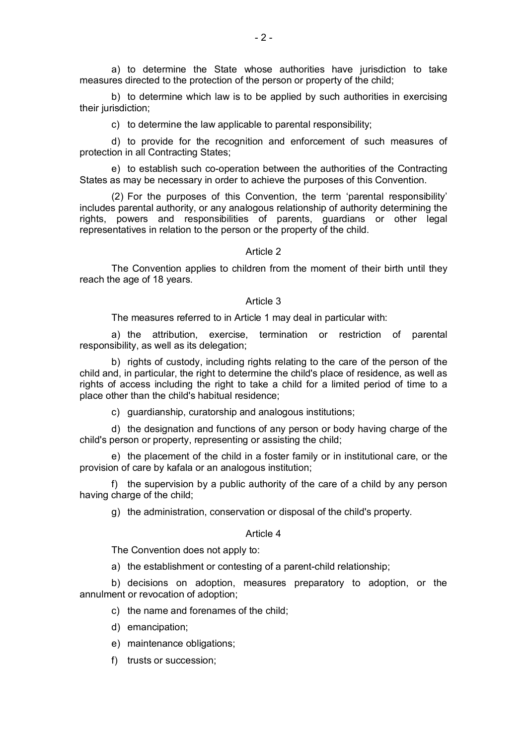a) to determine the State whose authorities have jurisdiction to take measures directed to the protection of the person or property of the child;

b) to determine which law is to be applied by such authorities in exercising their jurisdiction:

c) to determine the law applicable to parental responsibility;

d) to provide for the recognition and enforcement of such measures of protection in all Contracting States;

e) to establish such co-operation between the authorities of the Contracting States as may be necessary in order to achieve the purposes of this Convention.

(2) For the purposes of this Convention, the term 'parental responsibility' includes parental authority, or any analogous relationship of authority determining the rights, powers and responsibilities of parents, guardians or other legal representatives in relation to the person or the property of the child.

#### Article 2

The Convention applies to children from the moment of their birth until they reach the age of 18 years.

#### Article 3

The measures referred to in Article 1 may deal in particular with:

a) the attribution, exercise, termination or restriction of parental responsibility, as well as its delegation;

b) rights of custody, including rights relating to the care of the person of the child and, in particular, the right to determine the child's place of residence, as well as rights of access including the right to take a child for a limited period of time to a place other than the child's habitual residence;

c) quardianship, curatorship and analogous institutions:

d) the designation and functions of any person or body having charge of the child's person or property, representing or assisting the child;

e) the placement of the child in a foster family or in institutional care, or the provision of care by kafala or an analogous institution;

f) the supervision by a public authority of the care of a child by any person having charge of the child;

g) the administration, conservation or disposal of the child's property.

#### Article 4

The Convention does not apply to:

a) the establishment or contesting of a parent-child relationship;

b) decisions on adoption, measures preparatory to adoption, or the annulment or revocation of adoption;

c) the name and forenames of the child;

d) emancipation;

e) maintenance obligations;

f) trusts or succession: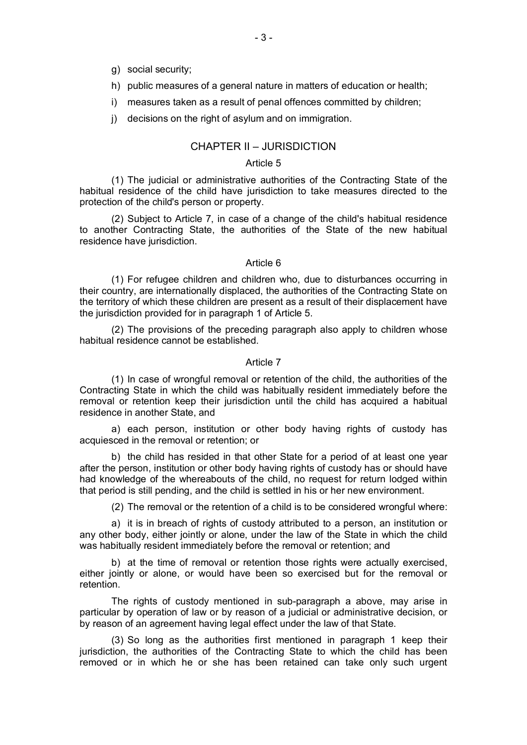- g) social security;
- h) public measures of a general nature in matters of education or health:
- i) measures taken as a result of penal offences committed by children;
- i) decisions on the right of asylum and on immigration.

### CHAPTER II - JURISDICTION

#### Article 5

(1) The judicial or administrative authorities of the Contracting State of the habitual residence of the child have jurisdiction to take measures directed to the protection of the child's person or property.

(2) Subject to Article 7, in case of a change of the child's habitual residence to another Contracting State, the authorities of the State of the new habitual residence have jurisdiction.

#### Article 6

(1) For refugee children and children who, due to disturbances occurring in their country, are internationally displaced, the authorities of the Contracting State on the territory of which these children are present as a result of their displacement have the jurisdiction provided for in paragraph 1 of Article 5.

(2) The provisions of the preceding paragraph also apply to children whose habitual residence cannot be established.

#### Article 7

(1) In case of wrongful removal or retention of the child, the authorities of the Contracting State in which the child was habitually resident immediately before the removal or retention keep their jurisdiction until the child has acquired a habitual residence in another State, and

a) each person, institution or other body having rights of custody has acquiesced in the removal or retention; or

b) the child has resided in that other State for a period of at least one year after the person, institution or other body having rights of custody has or should have had knowledge of the whereabouts of the child, no request for return lodged within that period is still pending, and the child is settled in his or her new environment.

(2) The removal or the retention of a child is to be considered wrongful where:

a) it is in breach of rights of custody attributed to a person, an institution or any other body, either jointly or alone, under the law of the State in which the child was habitually resident immediately before the removal or retention; and

b) at the time of removal or retention those rights were actually exercised. either jointly or alone, or would have been so exercised but for the removal or retention.

The rights of custody mentioned in sub-paragraph a above, may arise in particular by operation of law or by reason of a judicial or administrative decision, or by reason of an agreement having legal effect under the law of that State.

(3) So long as the authorities first mentioned in paragraph 1 keep their jurisdiction, the authorities of the Contracting State to which the child has been removed or in which he or she has been retained can take only such urgent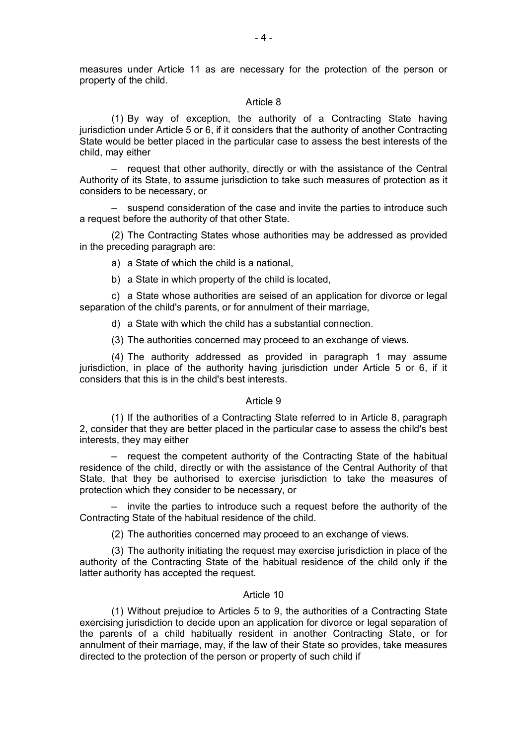measures under Article 11 as are necessary for the protection of the person or property of the child.

#### Article 8

(1) By way of exception, the authority of a Contracting State having jurisdiction under Article 5 or 6, if it considers that the authority of another Contracting State would be better placed in the particular case to assess the best interests of the child, may either

- request that other authority, directly or with the assistance of the Central Authority of its State, to assume jurisdiction to take such measures of protection as it considers to be necessary, or

- suspend consideration of the case and invite the parties to introduce such a request before the authority of that other State.

(2) The Contracting States whose authorities may be addressed as provided in the preceding paragraph are:

a) a State of which the child is a national,

b) a State in which property of the child is located,

c) a State whose authorities are seised of an application for divorce or legal separation of the child's parents, or for annulment of their marriage.

d) a State with which the child has a substantial connection.

(3) The authorities concerned may proceed to an exchange of views.

(4) The authority addressed as provided in paragraph 1 may assume jurisdiction, in place of the authority having jurisdiction under Article 5 or 6, if it considers that this is in the child's best interests.

### Article 9

(1) If the authorities of a Contracting State referred to in Article 8, paragraph 2, consider that they are better placed in the particular case to assess the child's best interests, they may either

- request the competent authority of the Contracting State of the habitual residence of the child, directly or with the assistance of the Central Authority of that State, that they be authorised to exercise jurisdiction to take the measures of protection which they consider to be necessary, or

- invite the parties to introduce such a request before the authority of the Contracting State of the habitual residence of the child.

(2) The authorities concerned may proceed to an exchange of views.

(3) The authority initiating the request may exercise jurisdiction in place of the authority of the Contracting State of the habitual residence of the child only if the latter authority has accepted the request.

### Article 10

(1) Without prejudice to Articles 5 to 9, the authorities of a Contracting State exercising jurisdiction to decide upon an application for divorce or legal separation of the parents of a child habitually resident in another Contracting State, or for annulment of their marriage, may, if the law of their State so provides, take measures directed to the protection of the person or property of such child if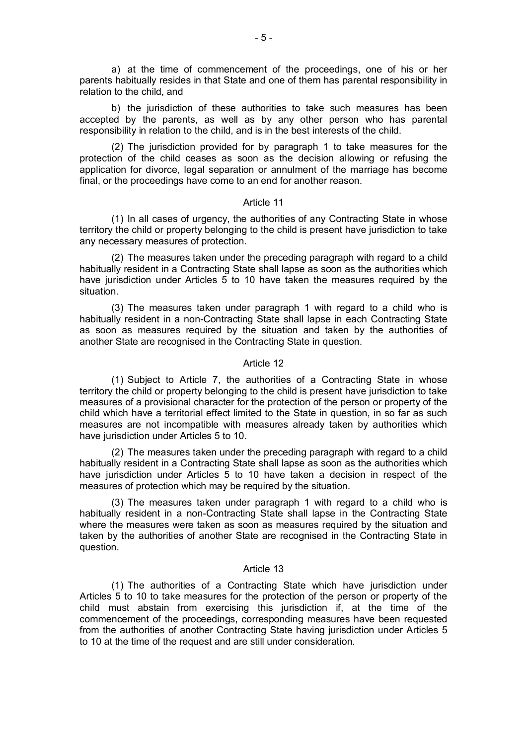a) at the time of commencement of the proceedings, one of his or her parents habitually resides in that State and one of them has parental responsibility in relation to the child, and

b) the jurisdiction of these authorities to take such measures has been accepted by the parents, as well as by any other person who has parental responsibility in relation to the child, and is in the best interests of the child.

(2) The jurisdiction provided for by paragraph 1 to take measures for the protection of the child ceases as soon as the decision allowing or refusing the application for divorce, legal separation or annulment of the marriage has become final, or the proceedings have come to an end for another reason.

#### Article 11

(1) In all cases of urgency, the authorities of any Contracting State in whose territory the child or property belonging to the child is present have jurisdiction to take any necessary measures of protection.

(2) The measures taken under the preceding paragraph with regard to a child habitually resident in a Contracting State shall lapse as soon as the authorities which have jurisdiction under Articles 5 to 10 have taken the measures required by the situation.

(3) The measures taken under paragraph 1 with regard to a child who is habitually resident in a non-Contracting State shall lapse in each Contracting State as soon as measures required by the situation and taken by the authorities of another State are recognised in the Contracting State in question.

### Article 12

(1) Subject to Article 7, the authorities of a Contracting State in whose territory the child or property belonging to the child is present have jurisdiction to take measures of a provisional character for the protection of the person or property of the child which have a territorial effect limited to the State in question, in so far as such measures are not incompatible with measures already taken by authorities which have jurisdiction under Articles 5 to 10.

(2) The measures taken under the preceding paragraph with regard to a child habitually resident in a Contracting State shall lapse as soon as the authorities which have jurisdiction under Articles 5 to 10 have taken a decision in respect of the measures of protection which may be required by the situation.

(3) The measures taken under paragraph 1 with regard to a child who is habitually resident in a non-Contracting State shall lapse in the Contracting State where the measures were taken as soon as measures required by the situation and taken by the authorities of another State are recognised in the Contracting State in question.

#### Article 13

(1) The authorities of a Contracting State which have jurisdiction under Articles 5 to 10 to take measures for the protection of the person or property of the child must abstain from exercising this jurisdiction if, at the time of the commencement of the proceedings, corresponding measures have been requested from the authorities of another Contracting State having jurisdiction under Articles 5 to 10 at the time of the request and are still under consideration.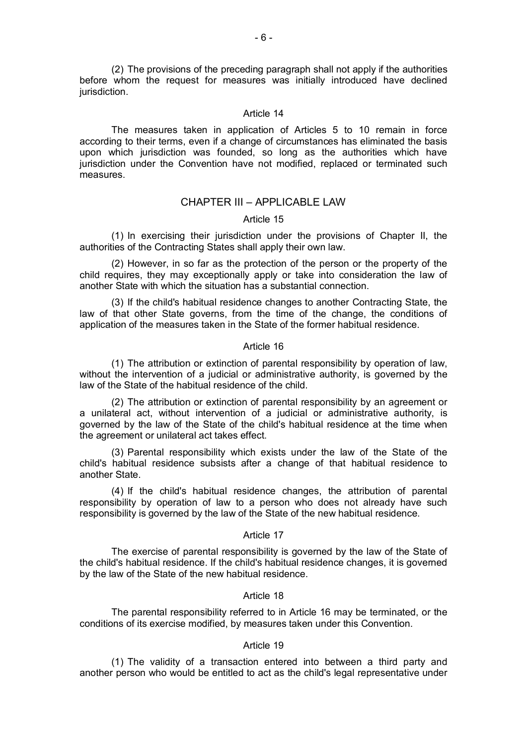(2) The provisions of the preceding paragraph shall not apply if the authorities before whom the request for measures was initially introduced have declined jurisdiction.

#### Article 14

The measures taken in application of Articles 5 to 10 remain in force according to their terms, even if a change of circumstances has eliminated the basis upon which jurisdiction was founded, so long as the authorities which have jurisdiction under the Convention have not modified, replaced or terminated such measures.

# CHAPTER III - APPLICABLE LAW

### Article 15

(1) In exercising their jurisdiction under the provisions of Chapter II, the authorities of the Contracting States shall apply their own law.

(2) However, in so far as the protection of the person or the property of the child requires, they may exceptionally apply or take into consideration the law of another State with which the situation has a substantial connection.

(3) If the child's habitual residence changes to another Contracting State, the law of that other State governs, from the time of the change, the conditions of application of the measures taken in the State of the former habitual residence.

#### Article 16

(1) The attribution or extinction of parental responsibility by operation of law, without the intervention of a judicial or administrative authority, is governed by the law of the State of the habitual residence of the child.

(2) The attribution or extinction of parental responsibility by an agreement or a unilateral act, without intervention of a judicial or administrative authority, is governed by the law of the State of the child's habitual residence at the time when the agreement or unilateral act takes effect.

(3) Parental responsibility which exists under the law of the State of the child's habitual residence subsists after a change of that habitual residence to another State.

(4) If the child's habitual residence changes, the attribution of parental responsibility by operation of law to a person who does not already have such responsibility is governed by the law of the State of the new habitual residence.

#### Article 17

The exercise of parental responsibility is governed by the law of the State of the child's habitual residence. If the child's habitual residence changes, it is governed by the law of the State of the new habitual residence.

### Article 18

The parental responsibility referred to in Article 16 may be terminated, or the conditions of its exercise modified, by measures taken under this Convention.

## Article 19

(1) The validity of a transaction entered into between a third party and another person who would be entitled to act as the child's legal representative under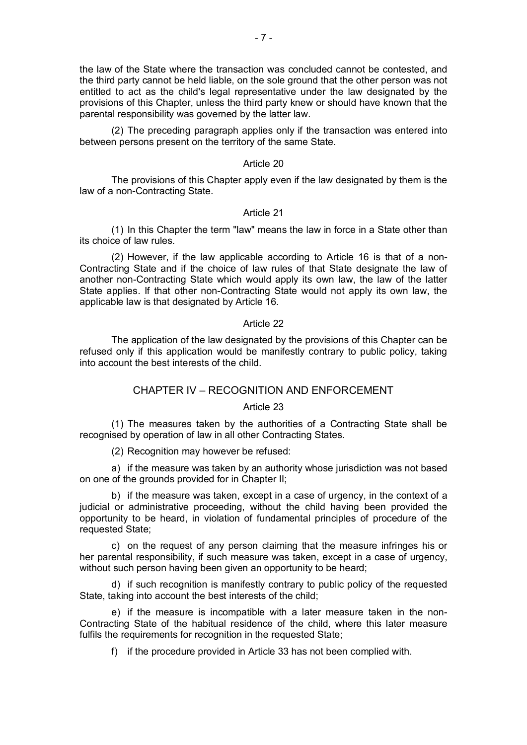the law of the State where the transaction was concluded cannot be contested, and the third party cannot be held liable, on the sole ground that the other person was not entitled to act as the child's legal representative under the law designated by the provisions of this Chapter, unless the third party knew or should have known that the parental responsibility was governed by the latter law.

(2) The preceding paragraph applies only if the transaction was entered into between persons present on the territory of the same State.

#### Article 20

The provisions of this Chapter apply even if the law designated by them is the law of a non-Contracting State.

### Article 21

(1) In this Chapter the term "law" means the law in force in a State other than its choice of law rules.

(2) However, if the law applicable according to Article 16 is that of a non-Contracting State and if the choice of law rules of that State designate the law of another non-Contracting State which would apply its own law, the law of the latter State applies. If that other non-Contracting State would not apply its own law, the applicable law is that designated by Article 16.

#### Article 22

The application of the law designated by the provisions of this Chapter can be refused only if this application would be manifestly contrary to public policy, taking into account the best interests of the child.

# CHAPTER IV - RECOGNITION AND ENFORCEMENT

### Article 23

(1) The measures taken by the authorities of a Contracting State shall be recognised by operation of law in all other Contracting States.

(2) Recognition may however be refused:

a) if the measure was taken by an authority whose jurisdiction was not based on one of the grounds provided for in Chapter II;

b) if the measure was taken, except in a case of urgency, in the context of a judicial or administrative proceeding, without the child having been provided the opportunity to be heard, in violation of fundamental principles of procedure of the requested State:

c) on the request of any person claiming that the measure infringes his or her parental responsibility, if such measure was taken, except in a case of urgency. without such person having been given an opportunity to be heard;

d) if such recognition is manifestly contrary to public policy of the requested State, taking into account the best interests of the child:

e) if the measure is incompatible with a later measure taken in the non-Contracting State of the habitual residence of the child, where this later measure fulfils the requirements for recognition in the requested State;

f) if the procedure provided in Article 33 has not been complied with.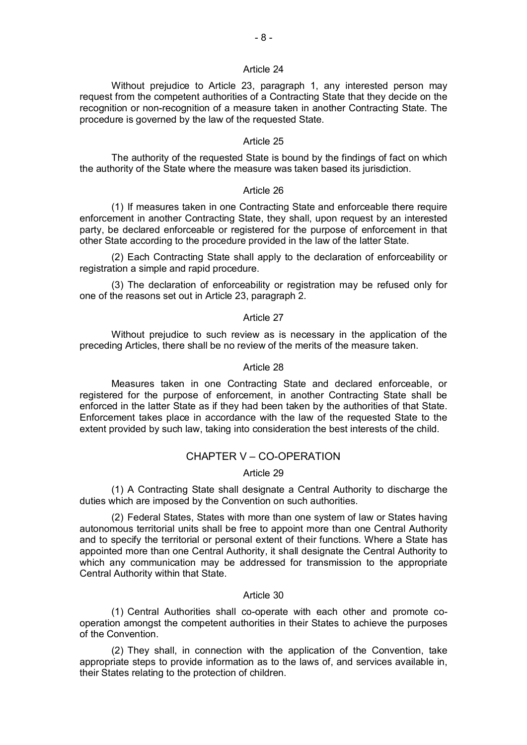Without prejudice to Article 23, paragraph 1, any interested person may request from the competent authorities of a Contracting State that they decide on the recognition or non-recognition of a measure taken in another Contracting State. The procedure is governed by the law of the requested State.

#### Article 25

The authority of the requested State is bound by the findings of fact on which the authority of the State where the measure was taken based its jurisdiction.

#### Article 26

(1) If measures taken in one Contracting State and enforceable there require enforcement in another Contracting State, they shall, upon request by an interested party, be declared enforceable or registered for the purpose of enforcement in that other State according to the procedure provided in the law of the latter State.

(2) Each Contracting State shall apply to the declaration of enforceability or registration a simple and rapid procedure.

(3) The declaration of enforceability or registration may be refused only for one of the reasons set out in Article 23, paragraph 2.

#### Article 27

Without prejudice to such review as is necessary in the application of the preceding Articles, there shall be no review of the merits of the measure taken.

#### Article 28

Measures taken in one Contracting State and declared enforceable, or registered for the purpose of enforcement, in another Contracting State shall be enforced in the latter State as if they had been taken by the authorities of that State. Enforcement takes place in accordance with the law of the requested State to the extent provided by such law, taking into consideration the best interests of the child.

# CHAPTER V - CO-OPERATION

### Article 29

(1) A Contracting State shall designate a Central Authority to discharge the duties which are imposed by the Convention on such authorities.

(2) Federal States, States with more than one system of law or States having autonomous territorial units shall be free to appoint more than one Central Authority and to specify the territorial or personal extent of their functions. Where a State has appointed more than one Central Authority, it shall designate the Central Authority to which any communication may be addressed for transmission to the appropriate Central Authority within that State.

# Article 30

(1) Central Authorities shall co-operate with each other and promote cooperation amongst the competent authorities in their States to achieve the purposes of the Convention.

(2) They shall, in connection with the application of the Convention, take appropriate steps to provide information as to the laws of, and services available in, their States relating to the protection of children.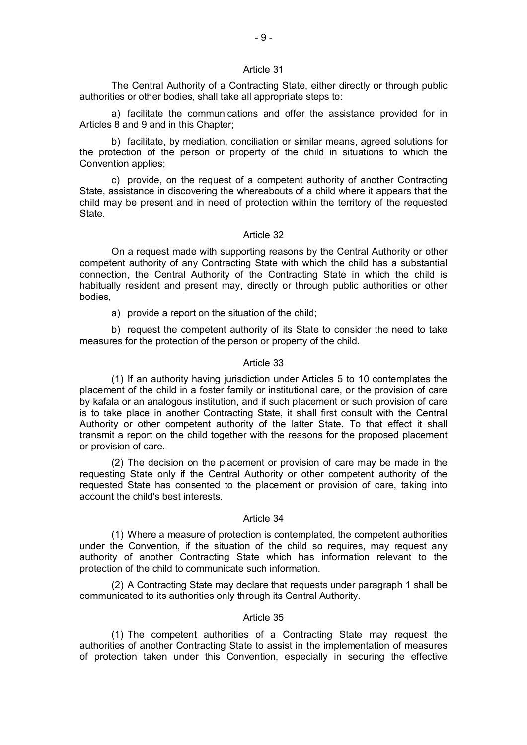The Central Authority of a Contracting State, either directly or through public authorities or other bodies, shall take all appropriate steps to:

a) facilitate the communications and offer the assistance provided for in Articles 8 and 9 and in this Chapter;

b) facilitate, by mediation, conciliation or similar means, agreed solutions for the protection of the person or property of the child in situations to which the Convention applies;

c) provide, on the request of a competent authority of another Contracting State, assistance in discovering the whereabouts of a child where it appears that the child may be present and in need of protection within the territory of the requested State.

#### Article 32

On a request made with supporting reasons by the Central Authority or other competent authority of any Contracting State with which the child has a substantial connection, the Central Authority of the Contracting State in which the child is habitually resident and present may, directly or through public authorities or other bodies.

a) provide a report on the situation of the child:

b) request the competent authority of its State to consider the need to take measures for the protection of the person or property of the child.

#### Article 33

(1) If an authority having jurisdiction under Articles 5 to 10 contemplates the placement of the child in a foster family or institutional care, or the provision of care by kafala or an analogous institution, and if such placement or such provision of care is to take place in another Contracting State, it shall first consult with the Central Authority or other competent authority of the latter State. To that effect it shall transmit a report on the child together with the reasons for the proposed placement or provision of care.

(2) The decision on the placement or provision of care may be made in the requesting State only if the Central Authority or other competent authority of the requested State has consented to the placement or provision of care, taking into account the child's best interests.

### Article 34

(1) Where a measure of protection is contemplated, the competent authorities under the Convention, if the situation of the child so requires, may request any authority of another Contracting State which has information relevant to the protection of the child to communicate such information.

(2) A Contracting State may declare that requests under paragraph 1 shall be communicated to its authorities only through its Central Authority.

#### Article 35

(1) The competent authorities of a Contracting State may request the authorities of another Contracting State to assist in the implementation of measures of protection taken under this Convention, especially in securing the effective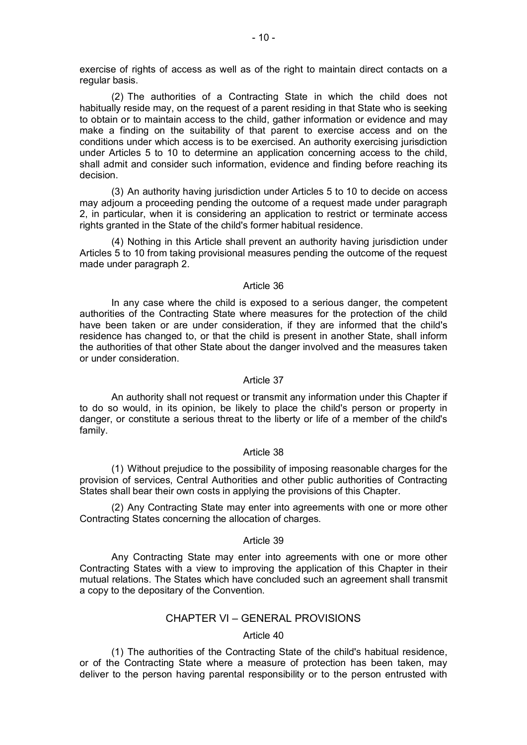exercise of rights of access as well as of the right to maintain direct contacts on a regular basis.

(2) The authorities of a Contracting State in which the child does not habitually reside may, on the request of a parent residing in that State who is seeking to obtain or to maintain access to the child, gather information or evidence and may make a finding on the suitability of that parent to exercise access and on the conditions under which access is to be exercised. An authority exercising jurisdiction under Articles 5 to 10 to determine an application concerning access to the child, shall admit and consider such information, evidence and finding before reaching its decision.

(3) An authority having jurisdiction under Articles 5 to 10 to decide on access may adjourn a proceeding pending the outcome of a request made under paragraph 2, in particular, when it is considering an application to restrict or terminate access rights granted in the State of the child's former habitual residence.

(4) Nothing in this Article shall prevent an authority having jurisdiction under Articles 5 to 10 from taking provisional measures pending the outcome of the request made under paragraph 2.

#### Article 36

In any case where the child is exposed to a serious danger, the competent authorities of the Contracting State where measures for the protection of the child have been taken or are under consideration, if they are informed that the child's residence has changed to, or that the child is present in another State, shall inform the authorities of that other State about the danger involved and the measures taken or under consideration.

#### Article 37

An authority shall not request or transmit any information under this Chapter if to do so would, in its opinion, be likely to place the child's person or property in danger, or constitute a serious threat to the liberty or life of a member of the child's family.

#### Article 38

(1) Without prejudice to the possibility of imposing reasonable charges for the provision of services, Central Authorities and other public authorities of Contracting States shall bear their own costs in applying the provisions of this Chapter.

(2) Any Contracting State may enter into agreements with one or more other Contracting States concerning the allocation of charges.

#### Article 39

Any Contracting State may enter into agreements with one or more other Contracting States with a view to improving the application of this Chapter in their mutual relations. The States which have concluded such an agreement shall transmit a copy to the depositary of the Convention.

## CHAPTER VI - GENERAL PROVISIONS

### Article 40

(1) The authorities of the Contracting State of the child's habitual residence, or of the Contracting State where a measure of protection has been taken, may deliver to the person having parental responsibility or to the person entrusted with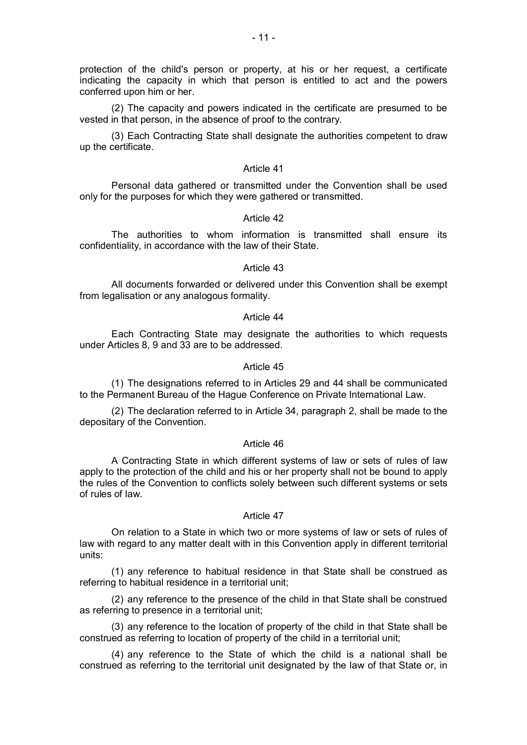protection of the child's person or property, at his or her request, a certificate indicating the capacity in which that person is entitled to act and the powers conferred upon him or her.

(2) The capacity and powers indicated in the certificate are presumed to be vested in that person, in the absence of proof to the contrary.

(3) Each Contracting State shall designate the authorities competent to draw up the certificate.

### Article 41

Personal data gathered or transmitted under the Convention shall be used only for the purposes for which they were gathered or transmitted.

### Article 42

The authorities to whom information is transmitted shall ensure its confidentiality, in accordance with the law of their State.

## Article 43

All documents forwarded or delivered under this Convention shall be exempt from legalisation or any analogous formality.

### Article 44

Each Contracting State may designate the authorities to which requests under Articles 8, 9 and 33 are to be addressed.

## Article 45

(1) The designations referred to in Articles 29 and 44 shall be communicated to the Permanent Bureau of the Hague Conference on Private International Law.

(2) The declaration referred to in Article 34, paragraph 2, shall be made to the depositary of the Convention.

### Article 46

A Contracting State in which different systems of law or sets of rules of law apply to the protection of the child and his or her property shall not be bound to apply the rules of the Convention to conflicts solely between such different systems or sets of rules of law

#### Article 47

On relation to a State in which two or more systems of law or sets of rules of law with regard to any matter dealt with in this Convention apply in different territorial units:

(1) any reference to habitual residence in that State shall be construed as referring to habitual residence in a territorial unit;

(2) any reference to the presence of the child in that State shall be construed as referring to presence in a territorial unit;

(3) any reference to the location of property of the child in that State shall be construed as referring to location of property of the child in a territorial unit;

(4) any reference to the State of which the child is a national shall be construed as referring to the territorial unit designated by the law of that State or, in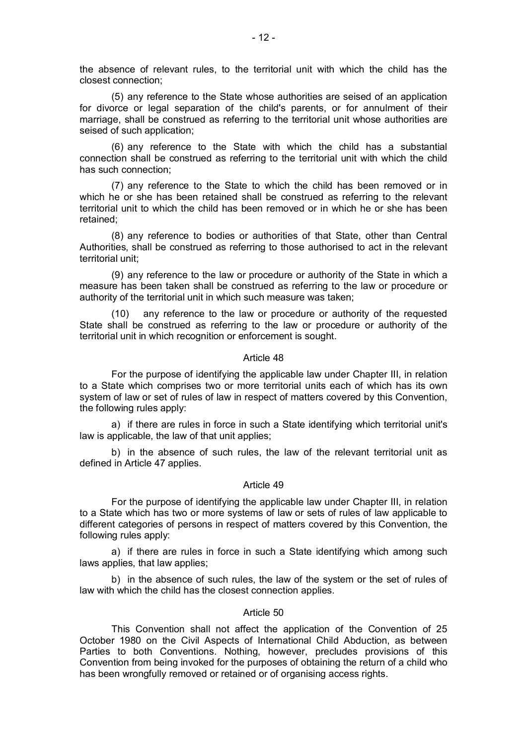the absence of relevant rules, to the territorial unit with which the child has the closest connection:

(5) any reference to the State whose authorities are seised of an application for divorce or legal separation of the child's parents, or for annulment of their marriage, shall be construed as referring to the territorial unit whose authorities are seised of such application:

(6) any reference to the State with which the child has a substantial connection shall be construed as referring to the territorial unit with which the child has such connection;

(7) any reference to the State to which the child has been removed or in which he or she has been retained shall be construed as referring to the relevant territorial unit to which the child has been removed or in which he or she has been retained:

(8) any reference to bodies or authorities of that State, other than Central Authorities, shall be construed as referring to those authorised to act in the relevant territorial unit:

(9) any reference to the law or procedure or authority of the State in which a measure has been taken shall be construed as referring to the law or procedure or authority of the territorial unit in which such measure was taken:

any reference to the law or procedure or authority of the requested  $(10)$ State shall be construed as referring to the law or procedure or authority of the territorial unit in which recognition or enforcement is sought.

#### Article 48

For the purpose of identifying the applicable law under Chapter III, in relation to a State which comprises two or more territorial units each of which has its own system of law or set of rules of law in respect of matters covered by this Convention. the following rules apply:

a) if there are rules in force in such a State identifying which territorial unit's law is applicable, the law of that unit applies;

b) in the absence of such rules, the law of the relevant territorial unit as defined in Article 47 applies.

#### Article 49

For the purpose of identifying the applicable law under Chapter III, in relation to a State which has two or more systems of law or sets of rules of law applicable to different categories of persons in respect of matters covered by this Convention, the following rules apply:

a) if there are rules in force in such a State identifying which among such laws applies, that law applies;

b) in the absence of such rules, the law of the system or the set of rules of law with which the child has the closest connection applies.

#### Article 50

This Convention shall not affect the application of the Convention of 25 October 1980 on the Civil Aspects of International Child Abduction, as between Parties to both Conventions. Nothing, however, precludes provisions of this Convention from being invoked for the purposes of obtaining the return of a child who has been wrongfully removed or retained or of organising access rights.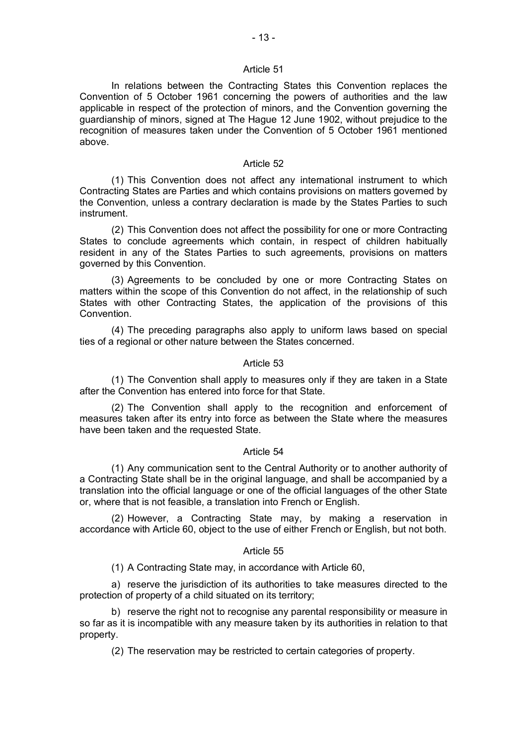In relations between the Contracting States this Convention replaces the Convention of 5 October 1961 concerning the powers of authorities and the law applicable in respect of the protection of minors, and the Convention governing the quardianship of minors, signed at The Hague 12 June 1902, without prejudice to the recognition of measures taken under the Convention of 5 October 1961 mentioned above.

### Article 52

(1) This Convention does not affect any international instrument to which Contracting States are Parties and which contains provisions on matters governed by the Convention, unless a contrary declaration is made by the States Parties to such instrument

(2) This Convention does not affect the possibility for one or more Contracting States to conclude agreements which contain, in respect of children habitually resident in any of the States Parties to such agreements, provisions on matters governed by this Convention.

(3) Agreements to be concluded by one or more Contracting States on matters within the scope of this Convention do not affect, in the relationship of such States with other Contracting States, the application of the provisions of this Convention

(4) The preceding paragraphs also apply to uniform laws based on special ties of a regional or other nature between the States concerned.

#### Article 53

(1) The Convention shall apply to measures only if they are taken in a State after the Convention has entered into force for that State.

(2) The Convention shall apply to the recognition and enforcement of measures taken after its entry into force as between the State where the measures have been taken and the requested State.

#### Article 54

(1) Any communication sent to the Central Authority or to another authority of a Contracting State shall be in the original language, and shall be accompanied by a translation into the official language or one of the official languages of the other State or, where that is not feasible, a translation into French or English.

(2) However, a Contracting State may, by making a reservation in accordance with Article 60, object to the use of either French or English, but not both.

### Article 55

(1) A Contracting State may, in accordance with Article 60,

a) reserve the jurisdiction of its authorities to take measures directed to the protection of property of a child situated on its territory;

b) reserve the right not to recognise any parental responsibility or measure in so far as it is incompatible with any measure taken by its authorities in relation to that property.

(2) The reservation may be restricted to certain categories of property.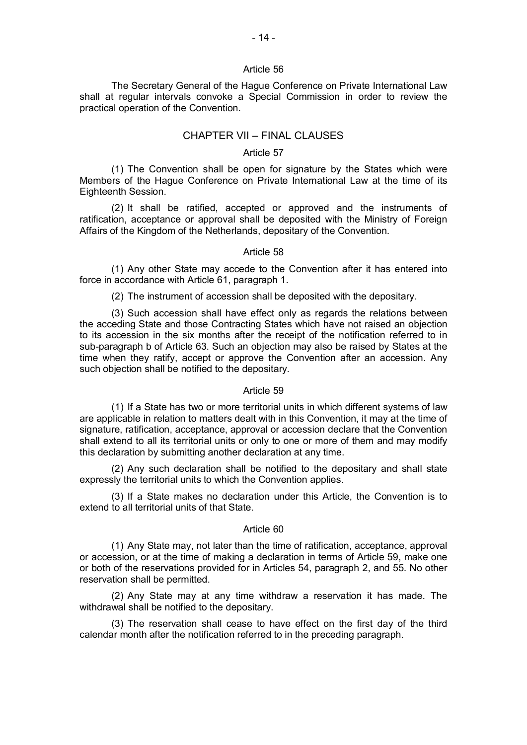The Secretary General of the Haque Conference on Private International Law shall at reqular intervals convoke a Special Commission in order to review the practical operation of the Convention.

## CHAPTER VII - FINAL CLAUSES

#### Article 57

(1) The Convention shall be open for signature by the States which were Members of the Haque Conference on Private International Law at the time of its Eighteenth Session.

(2) It shall be ratified, accepted or approved and the instruments of ratification, acceptance or approval shall be deposited with the Ministry of Foreign Affairs of the Kingdom of the Netherlands, depositary of the Convention.

#### Article 58

(1) Any other State may accede to the Convention after it has entered into force in accordance with Article 61, paragraph 1.

(2) The instrument of accession shall be deposited with the depositary.

(3) Such accession shall have effect only as regards the relations between the acceding State and those Contracting States which have not raised an objection to its accession in the six months after the receipt of the notification referred to in sub-paragraph b of Article 63. Such an objection may also be raised by States at the time when they ratify, accept or approve the Convention after an accession. Any such objection shall be notified to the depositary.

#### Article 59

(1) If a State has two or more territorial units in which different systems of law are applicable in relation to matters dealt with in this Convention, it may at the time of signature, ratification, acceptance, approval or accession declare that the Convention shall extend to all its territorial units or only to one or more of them and may modify this declaration by submitting another declaration at any time.

(2) Any such declaration shall be notified to the depositary and shall state expressly the territorial units to which the Convention applies.

(3) If a State makes no declaration under this Article, the Convention is to extend to all territorial units of that State.

#### Article 60

(1) Any State may, not later than the time of ratification, acceptance, approval or accession, or at the time of making a declaration in terms of Article 59, make one or both of the reservations provided for in Articles 54, paragraph 2, and 55. No other reservation shall be permitted.

(2) Any State may at any time withdraw a reservation it has made. The withdrawal shall be notified to the depositary.

(3) The reservation shall cease to have effect on the first day of the third calendar month after the notification referred to in the preceding paragraph.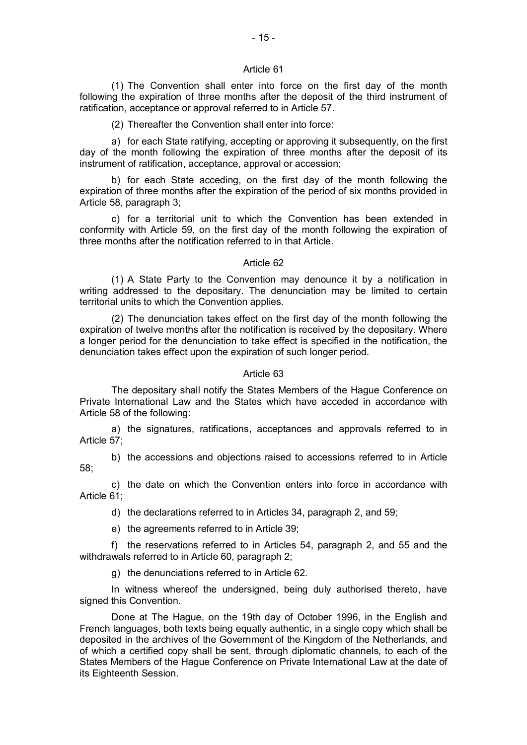(1) The Convention shall enter into force on the first day of the month following the expiration of three months after the deposit of the third instrument of ratification, acceptance or approval referred to in Article 57.

(2) Thereafter the Convention shall enter into force:

a) for each State ratifying, accepting or approving it subsequently, on the first day of the month following the expiration of three months after the deposit of its instrument of ratification, acceptance, approval or accession;

b) for each State acceding, on the first day of the month following the expiration of three months after the expiration of the period of six months provided in Article 58, paragraph 3;

c) for a territorial unit to which the Convention has been extended in conformity with Article 59, on the first day of the month following the expiration of three months after the notification referred to in that Article.

#### Article 62

(1) A State Party to the Convention may denounce it by a notification in writing addressed to the depositary. The denunciation may be limited to certain territorial units to which the Convention applies.

(2) The denunciation takes effect on the first day of the month following the expiration of twelve months after the notification is received by the depositary. Where a longer period for the denunciation to take effect is specified in the notification, the denunciation takes effect upon the expiration of such longer period.

#### Article 63

The depositary shall notify the States Members of the Haque Conference on Private International Law and the States which have acceded in accordance with Article 58 of the following:

a) the signatures, ratifications, acceptances and approvals referred to in Article 57;

b) the accessions and objections raised to accessions referred to in Article  $58;$ 

c) the date on which the Convention enters into force in accordance with Article 61;

d) the declarations referred to in Articles 34, paragraph 2, and 59;

e) the agreements referred to in Article 39;

f) the reservations referred to in Articles 54, paragraph 2, and 55 and the withdrawals referred to in Article 60, paragraph 2;

q) the denunciations referred to in Article 62.

In witness whereof the undersigned, being duly authorised thereto, have signed this Convention.

Done at The Hague, on the 19th day of October 1996, in the English and French languages, both texts being equally authentic, in a single copy which shall be deposited in the archives of the Government of the Kingdom of the Netherlands, and of which a certified copy shall be sent, through diplomatic channels, to each of the States Members of the Hague Conference on Private International Law at the date of its Eighteenth Session.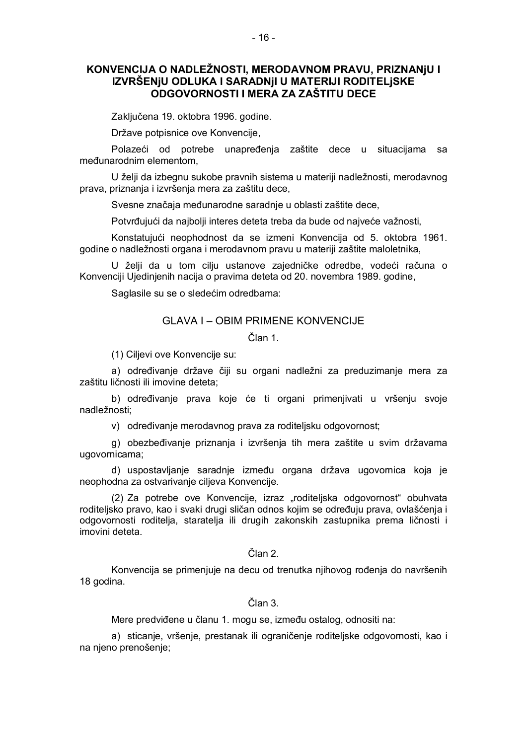# KONVENCIJA O NADLEŽNOSTI, MERODAVNOM PRAVU, PRIZNANJU I IZVRŠENJU ODLUKA I SARADNJI U MATERIJI RODITELJSKE ODGOVORNOSTI I MERA ZA ZAŠTITU DECE

Zakliučena 19. oktobra 1996. godine.

Države potpisnice ove Konvencije,

Polazeći od potrebe unapređenja zaštite dece u situacijama sa međunarodnim elementom.

U želji da izbegnu sukobe pravnih sistema u materiji nadležnosti, merodavnog prava, priznanja i izvršenja mera za zaštitu dece,

Svesne značaja međunarodne saradnje u oblasti zaštite dece.

Potvrđujući da najbolji interes deteta treba da bude od najveće važnosti,

Konstatujući neophodnost da se izmeni Konvencija od 5. oktobra 1961. godine o nadležnosti organa i merodavnom pravu u materiji zaštite maloletnika,

U želji da u tom cilju ustanove zajedničke odredbe, vodeći računa o Konvenciji Ujedinjenih nacija o pravima deteta od 20. novembra 1989. godine.

Saglasile su se o sledećim odredbama:

### GLAVA L - OBIM PRIMENE KONVENCLIE

Član 1

(1) Cilievi ove Konvencije su:

a) određivanje države čiji su organi nadležni za preduzimanje mera za zaštitu ličnosti ili imovine deteta;

b) određivanje prava koje će ti organi primenjivati u vršenju svoje nadležnosti;

v) određivanje merodavnog prava za roditeljsku odgovornost;

g) obezbeđivanje priznanja i izvršenja tih mera zaštite u svim državama ugovornicama;

d) uspostavljanje saradnje između organa država ugovornica koja je neophodna za ostvarivanje ciljeva Konvencije.

(2) Za potrebe ove Konvencije, izraz "roditeljska odgovornost" obuhvata roditeljsko pravo, kao i svaki drugi sličan odnos kojim se određuju prava, ovlašćenja i odgovornosti roditelja, staratelja ili drugih zakonskih zastupnika prema ličnosti i imovini deteta.

Član 2.

Konvencija se primenjuje na decu od trenutka njihovog rođenja do navršenih 18 godina.

 $\tilde{C}$ lan 3

Mere predviđene u članu 1. mogu se, između ostalog, odnositi na:

a) sticanje, vršenje, prestanak ili ograničenje roditeljske odgovornosti, kao i na nieno prenošenie: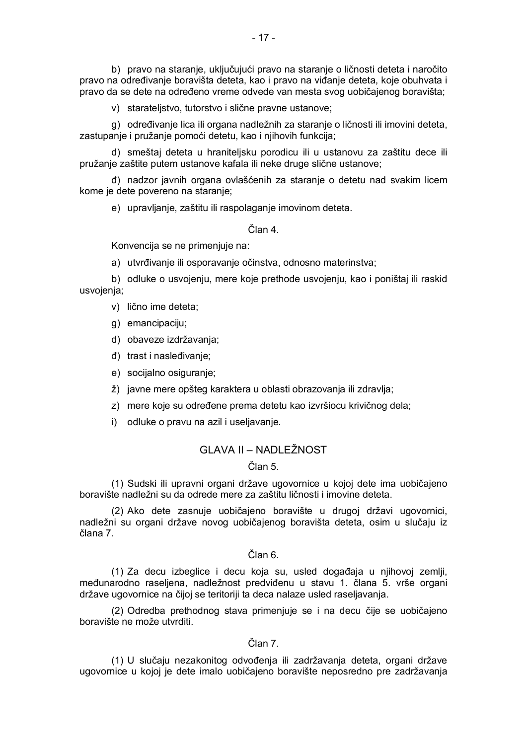b) pravo na staranje, uključujući pravo na staranje o ličnosti deteta i naročito pravo na određivanje boravišta deteta, kao i pravo na viđanje deteta, koje obuhvata i pravo da se dete na određeno vreme odvede van mesta svog uobičajenog boravišta;

v) staratelistvo, tutorstvo i slične pravne ustanove;

g) određivanje lica ili organa nadležnih za staranje o ličnosti ili imovini deteta, zastupanje i pružanje pomoći detetu, kao i njihovih funkcija;

d) smeštaj deteta u hraniteljsku porodicu ili u ustanovu za zaštitu dece ili pružanje zaštite putem ustanove kafala ili neke druge slične ustanove;

đ) nadzor javnih organa ovlašćenih za staranje o detetu nad svakim licem kome je dete povereno na staranje;

e) upravljanje, zaštitu ili raspolaganje imovinom deteta.

Član 4

Konvencija se ne primenjuje na:

a) utvrđivanje ili osporavanje očinstva, odnosno materinstva;

b) odluke o usvojenju, mere koje prethode usvojenju, kao i poništaj ili raskid usvojenja;

v) lično ime deteta:

- g) emancipaciju;
- d) obaveze izdržavanja;
- đ) trast i nasleđivanje;
- e) socijalno osiguranje;
- ž) javne mere opšteg karaktera u oblasti obrazovanja ili zdravlja;
- z) mere koje su određene prema detetu kao izvršiocu krivičnog dela;
- i) odluke o pravu na azil i useljavanje.

# GLAVA II - NADI FŽNOST

### Član 5.

(1) Sudski ili upravni organi države ugovornice u kojoj dete ima uobičajeno boravište nadležni su da odrede mere za zaštitu ličnosti i imovine deteta.

(2) Ako dete zasnuje uobičajeno boravište u drugoj državi ugovornici, nadležni su organi države novog uobičajenog boravišta deteta, osim u slučaju iz člana 7.

### Član 6

(1) Za decu izbeglice i decu koja su, usled događaja u njihovoj zemlji, međunarodno raseljena, nadležnost predviđenu u stavu 1. člana 5. vrše organi države ugovornice na čijoj se teritoriji ta deca nalaze usled raseljavanja.

(2) Odredba prethodnog stava primenjuje se i na decu čije se uobičajeno boravište ne može utvrditi.

# Član 7

(1) U slučaju nezakonitog odvođenia ili zadržavania deteta, organi države ugovornice u kojoj je dete imalo uobičajeno boravište neposredno pre zadržavanja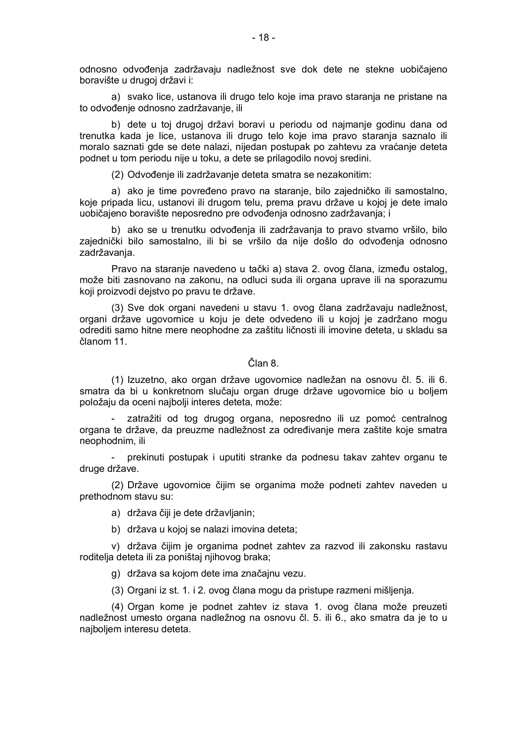odnosno odvođenja zadržavaju nadležnost sve dok dete ne stekne uobičajeno boravište u drugoj državi i:

a) svako lice, ustanova ili drugo telo koje ima pravo staranja ne pristane na to odvođenje odnosno zadržavanje, ili

b) dete u toj drugoj državi boravi u periodu od najmanje godinu dana od trenutka kada je lice, ustanova ili drugo telo koje ima pravo staranja saznalo ili moralo saznati gde se dete nalazi, nijedan postupak po zahtevu za vraćanje deteta podnet u tom periodu nije u toku, a dete se prilagodilo novoj sredini.

(2) Odvođenje ili zadržavanje deteta smatra se nezakonitim:

a) ako je time povređeno pravo na staranje, bilo zajedničko ili samostalno, koje pripada licu, ustanovi ili drugom telu, prema pravu države u kojoj je dete imalo uobičajeno boravište neposredno pre odvođenja odnosno zadržavanja; i

b) ako se u trenutku odvođenja ili zadržavanja to pravo stvarno vršilo, bilo zajednički bilo samostalno, ili bi se vršilo da nije došlo do odvođenja odnosno zadržavanja.

Pravo na staranje navedeno u tački a) stava 2. ovog člana, između ostalog, može biti zasnovano na zakonu, na odluci suda ili organa uprave ili na sporazumu koji proizvodi dejstvo po pravu te države.

(3) Sve dok organi navedeni u stavu 1. ovog člana zadržavaju nadležnost, organi države ugovornice u koju je dete odvedeno ili u kojoj je zadržano mogu odrediti samo hitne mere neophodne za zaštitu ličnosti ili imovine deteta, u skladu sa članom 11.

Član 8.

(1) Izuzetno, ako organ države ugovornice nadležan na osnovu čl. 5. ili 6. smatra da bi u konkretnom slučaju organ druge države ugovornice bio u boljem položaju da oceni najbolij interes deteta. može:

zatražiti od tog drugog organa, neposredno ili uz pomoć centralnog organa te države, da preuzme nadležnost za određivanje mera zaštite koje smatra neophodnim, ili

prekinuti postupak i uputiti stranke da podnesu takav zahtev organu te druge države.

(2) Države ugovornice čijim se organima može podneti zahtev naveden u prethodnom stavu su:

a) država čiji je dete državljanin;

b) država u kojoj se nalazi imovina deteta;

v) država čijim je organima podnet zahtev za razvod ili zakonsku rastavu roditelja deteta ili za poništaj njihovog braka;

g) država sa kojom dete ima značajnu vezu.

(3) Organi iz st. 1. i 2. ovog člana mogu da pristupe razmeni mišljenja.

(4) Organ kome je podnet zahtev iz stava 1. ovog člana može preuzeti nadležnost umesto organa nadležnog na osnovu čl. 5. ili 6., ako smatra da je to u naiboliem interesu deteta.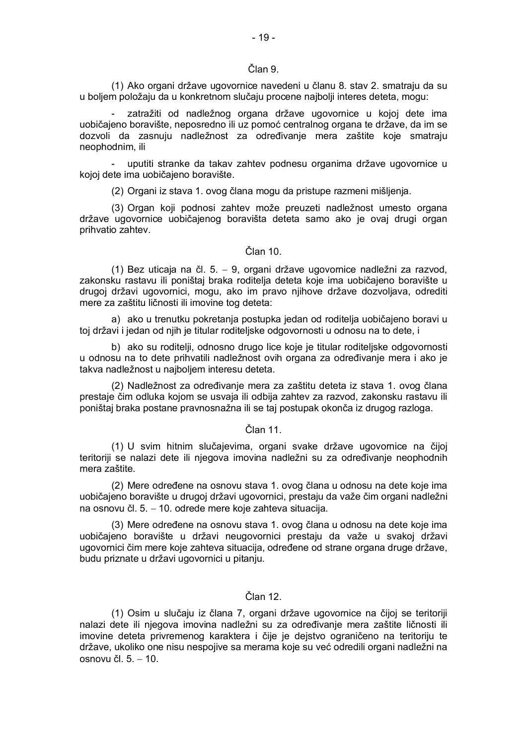(1) Ako organi države ugovornice navedeni u članu 8. stav 2. smatraju da su u boljem položaju da u konkretnom slučaju procene najbolji interes deteta, mogu:

zatražiti od nadležnog organa države ugovornice u kojoj dete ima uobičajeno boravište, neposredno ili uz pomoć centralnog organa te države, da im se dozvoli da zasnuju nadležnost za određivanje mera zaštite koje smatraju neophodnim, ili

uputiti stranke da takav zahtev podnesu organima države ugovornice u kojoj dete ima uobičajeno boravište.

(2) Organi iz stava 1. ovog člana mogu da pristupe razmeni mišljenja.

(3) Organ koji podnosi zahtev može preuzeti nadležnost umesto organa države ugovornice uobičajenog boravišta deteta samo ako je ovaj drugi organ prihvatio zahtev.

### Član 10

(1) Bez uticaja na čl. 5. – 9. organi države ugovornice nadležni za razvod. zakonsku rastavu ili poništaj braka roditelja deteta koje ima uobičajeno boravište u drugoj državi ugovornici, mogu, ako im pravo njihove države dozvoljava, odrediti mere za zaštitu ličnosti ili imovine tog deteta:

a) ako u trenutku pokretania postupka jedan od roditelia uobičajeno boravi u toj državi i jedan od njih je titular roditeljske odgovornosti u odnosu na to dete, i

b) ako su roditelii, odnosno drugo lice koje je titular roditeljske odgovornosti u odnosu na to dete prihvatili nadležnost ovih organa za određivanje mera i ako je takva nadležnost u najboljem interesu deteta.

(2) Nadležnost za određivanje mera za zaštitu deteta iz stava 1. ovog člana prestaje čim odluka kojom se usvaja ili odbija zahtev za razvod, zakonsku rastavu ili poništaj braka postane pravnosnažna ili se taj postupak okonča iz drugog razloga.

### Član 11.

(1) U svim hitnim slučajevima, organi svake države ugovornice na čijoj teritoriji se nalazi dete ili njegova imovina nadležni su za određivanje neophodnih mera zaštite.

(2) Mere određene na osnovu stava 1. ovog člana u odnosu na dete koje ima uobičajeno boravište u drugoj državi ugovornici, prestaju da važe čim organi nadležni na osnovu čl. 5. – 10. odrede mere koje zahteva situacija.

(3) Mere određene na osnovu stava 1. ovog člana u odnosu na dete koje ima uobičajeno boravište u državi neugovornici prestaju da važe u svakoj državi ugovornici čim mere koje zahteva situacija, određene od strane organa druge države. budu priznate u državi ugovornici u pitanju.

# Član 12

(1) Osim u slučaju iz člana 7, organi države ugovornice na čijoj se teritoriji nalazi dete ili njegova imovina nadležni su za određivanje mera zaštite ličnosti ili imovine deteta privremenog karaktera i čije je dejstvo ograničeno na teritoriju te države, ukoliko one nisu nespojive sa merama koje su već odredili organi nadležni na osnovu čl.  $5. - 10.$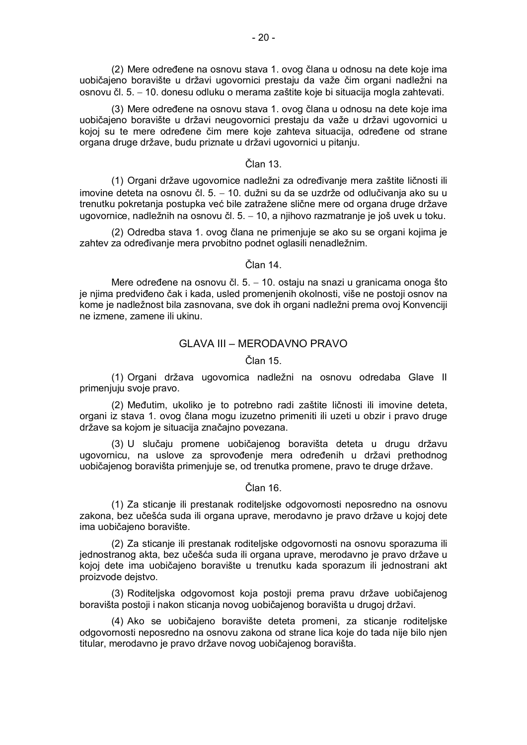(2) Mere određene na osnovu stava 1. ovog člana u odnosu na dete koje ima uobičajeno boravište u državi ugovornici prestaju da važe čim organi nadležni na osnovu čl. 5. – 10. donesu odluku o merama zaštite koje bi situacija mogla zahtevati.

(3) Mere određene na osnovu stava 1. ovog člana u odnosu na dete koje ima uobičajeno boravište u državi neugovornici prestaju da važe u državi ugovornici u kojoj su te mere određene čim mere koje zahteva situacija, određene od strane organa druge države, budu priznate u državi ugovornici u pitanju.

### Član 13.

(1) Organi države ugovornice nadležni za određivanje mera zaštite ličnosti ili imovine deteta na osnovu čl. 5. - 10. dužni su da se uzdrže od odlučivanja ako su u trenutku pokretanja postupka već bile zatražene slične mere od organa druge države ugovornice, nadležnih na osnovu čl. 5. – 10, a njihovo razmatranje je još uvek u toku.

(2) Odredba stava 1. ovog člana ne primenjuje se ako su se organi kojima je zahtev za određivanje mera prvobitno podnet oglasili nenadležnim.

# Član 14.

Mere određene na osnovu čl. 5. - 10. ostaju na snazi u granicama onoga što je njima predviđeno čak i kada, usled promenjenih okolnosti, više ne postoji osnov na .<br>kome je nadležnost bila zasnovana, sve dok ih organi nadležni prema ovoj Konvenciji ne izmene, zamene ili ukinu.

# **GLAVA III - MERODAVNO PRAVO**

#### Član 15

(1) Organi država ugovornica nadležni na osnovu odredaba Glave II primenjuju svoje pravo.

(2) Međutim, ukoliko je to potrebno radi zaštite ličnosti ili imovine deteta, organi iz stava 1. ovog člana mogu izuzetno primeniti ili uzeti u obzir i pravo druge države sa kojom je situacija značajno povezana.

(3) U slučaju promene uobičajenog boravišta deteta u drugu državu ugovornicu, na uslove za sprovođenje mera određenih u državi prethodnog uobičajenog boravišta primenjuje se, od trenutka promene, pravo te druge države.

#### Član 16

(1) Za sticanje ili prestanak roditeljske odgovornosti neposredno na osnovu zakona, bez učešća suda ili organa uprave, merodavno je pravo države u kojoj dete ima uobičajeno boravište.

(2) Za sticanie ili prestanak roditeliske odgovornosti na osnovu sporazuma ili jednostranog akta, bez učešća suda ili organa uprave, merodavno je pravo države u kojoj dete ima uobičajeno boravište u trenutku kada sporazum ili jednostrani akt proizvode dejstvo.

(3) Roditeljska odgovornost koja postoji prema pravu države uobičajenog boravišta postoji i nakon sticanja novog uobičajenog boravišta u drugoj državi.

(4) Ako se uobičajeno boravište deteta promeni, za sticanie roditeliske odgovornosti neposredno na osnovu zakona od strane lica koje do tada nije bilo njen titular, merodavno je pravo države novog uobičajenog boravišta.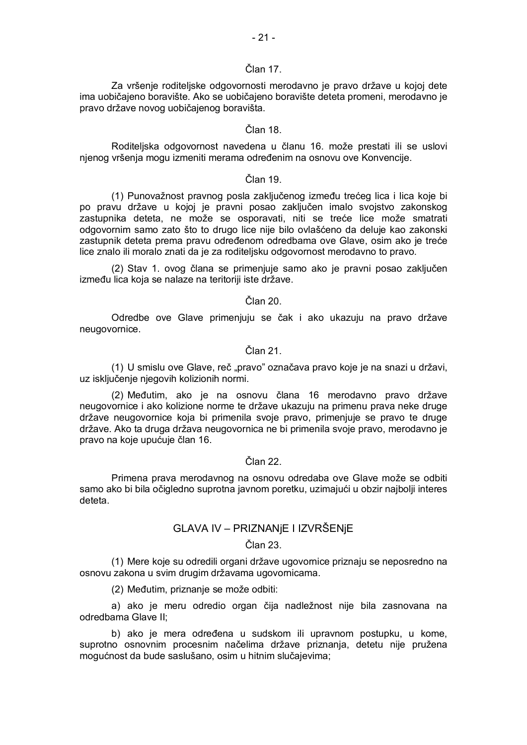Za vršenie roditeliske odgovornosti merodavno je pravo države u kojoj dete ima uobičajeno boravište. Ako se uobičajeno boravište deteta promeni, merodavno je pravo države novog uobičajenog boravišta.

#### Član 18

Roditeliska odgovornost navedena u članu 16. može prestati ili se uslovi njenog vršenja mogu izmeniti merama određenim na osnovu ove Konvencije.

### Član 19.

(1) Punovažnost pravnog posla zaključenog između trećeg lica i lica koje bi po pravu države u kojoj je pravni posao zaključen imalo svojstvo zakonskog zastupnika deteta, ne može se osporavati, niti se treće lice može smatrati odgovornim samo zato što to drugo lice nije bilo ovlašćeno da deluje kao zakonski zastupnik deteta prema pravu određenom odredbama ove Glave, osim ako je treće lice znalo ili moralo znati da je za roditeljsku odgovornost merodavno to pravo.

(2) Stav 1. ovog člana se primenjuje samo ako je pravni posao zaključen između lica koja se nalaze na teritoriji iste države.

#### Član 20

Odredbe ove Glave primeniuju se čak i ako ukazuju na pravo države neugovornice.

### Član 21

(1) U smislu ove Glave, reč "pravo" označava pravo koje je na snazi u državi, uz isključenje njegovih kolizionih normi.

(2) Međutim, ako je na osnovu člana 16 merodavno pravo države neugovornice i ako kolizione norme te države ukazuju na primenu prava neke druge države neugovornice koja bi primenila svoje pravo, primenjuje se pravo te druge države. Ako ta druga država neugovornica ne bi primenila svoje pravo, merodavno je pravo na koje upućuje član 16.

## Član 22

Primena prava merodavnog na osnovu odredaba ove Glave može se odbiti samo ako bi bila očigledno suprotna javnom poretku, uzimajući u obzir najbolji interes deteta.

# GLAVA IV - PRIZNANJE I IZVRŠENJE

# Član 23.

(1) Mere koje su odredili organi države ugovornice priznaju se neposredno na osnovu zakona u svim drugim državama ugovornicama.

(2) Međutim, priznanie se može odbiti:

a) ako je meru odredio organ čija nadležnost nije bila zasnovana na odredbama Glave II:

b) ako je mera određena u sudskom ili upravnom postupku, u kome, suprotno osnovnim procesnim načelima države priznanja, detetu nije pružena mogućnost da bude saslušano, osim u hitnim slučajevima;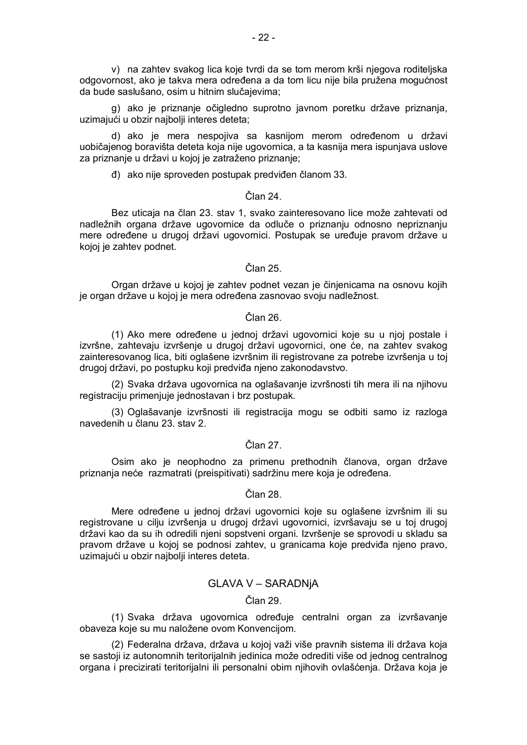v) na zahtev svakog lica koje tvrdi da se tom merom krši njegova roditeljska odgovornost, ako je takva mera određena a da tom licu nije bila pružena mogućnost da bude saslušano, osim u hitnim slučajevima;

g) ako je priznanje očigledno suprotno javnom poretku države priznanja, uzimajući u obzir najbolji interes deteta;

d) ako je mera nespojiva sa kasnijom merom određenom u državi uobičajenog boravišta deteta koja nije ugovornica, a ta kasnija mera ispunjava uslove za priznanje u državi u kojoj je zatraženo priznanje;

đ) ako nije sproveden postupak predviđen članom 33.

#### Član 24

Bez uticaja na član 23. stav 1. svako zainteresovano lice može zahtevati od nadležnih organa države ugovornice da odluče o priznanju odnosno nepriznanju mere određene u drugoj državi ugovornici. Postupak se uređuje pravom države u kojoj je zahtev podnet.

# Član 25

Organ države u kojoj je zahtev podnet vezan je činjenicama na osnovu kojih je organ države u kojoj je mera određena zasnovao svoju nadležnost.

#### Član 26

(1) Ako mere određene u jednoj državi ugovornici koje su u nioj postale i izvršne, zahtevaju izvršenje u drugoj državi ugovornici, one će, na zahtev svakog zainteresovanog lica, biti oglašene izvršnim ili registrovane za potrebe izvršenja u toj drugoj državi, po postupku koji predviđa njeno zakonodavstvo.

(2) Svaka država ugovornica na oglašavanje izvršnosti tih mera ili na njihovu registraciju primenjuje jednostavan i brz postupak.

(3) Oglašavanie izvršnosti ili registracija mogu se odbiti samo iz razloga navedenih u članu 23. stav 2.

# Član 27

Osim ako je neophodno za primenu prethodnih članova, organ države priznanja neće razmatrati (preispitivati) sadržinu mere koja je određena.

#### Član 28.

Mere određene u jednoj državi ugovornici koje su oglašene izvršnim ili su registrovane u cilju izvršenja u drugoj državi ugovornici, izvršavaju se u toj drugoj državi kao da su ih odredili njeni sopstveni organi. Izvršenje se sprovodi u skladu sa pravom države u kojoj se podnosi zahtev, u granicama koje predviđa njeno pravo, uzimajući u obzir najbolji interes deteta.

### **GLAVA V - SARADNIA**

# Član 29

(1) Svaka država ugovornica određuje centralni organ za izvršavanje obaveza koje su mu naložene ovom Konvencijom.

(2) Federalna država, država u kojoj važi više pravnih sistema ili država koja se sastoji iz autonomnih teritorijalnih jedinica može odrediti više od jednog centralnog organa i precizirati teritorijalni ili personalni obim njihovih ovlašćenja. Država koja je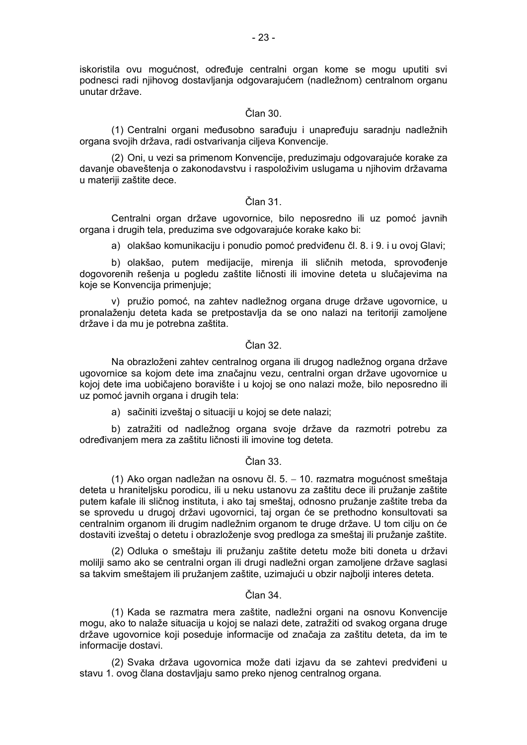iskoristila ovu mogućnost, određuje centralni organ kome se mogu uputiti svi podnesci radi njihovog dostavljanja odgovarajućem (nadležnom) centralnom organu unutar države.

### Član 30

(1) Centralni organi međusobno sarađuju i unapređuju saradnju nadležnih organa svojih država, radi ostvarivanja ciljeva Konvencije.

(2) Oni, u vezi sa primenom Konvencije, preduzimaju odgovarajuće korake za davanje obaveštenja o zakonodavstvu i raspoloživim uslugama u njihovim državama u materiji zaštite dece.

## Član 31

Centralni organ države ugovornice, bilo neposredno ili uz pomoć javnih organa i drugih tela, preduzima sve odgovarajuće korake kako bi:

a) olakšao komunikaciju i ponudio pomoć predviđenu čl. 8. i 9. i u ovoj Glavi;

b) olakšao, putem medijacije, mirenja ili sličnih metoda, sprovođenje dogovorenih rešenja u pogledu zaštite ličnosti ili imovine deteta u slučajevima na koje se Konvencija primenjuje;

v) pružio pomoć, na zahtev nadležnog organa druge države ugovornice, u pronalaženiu deteta kada se pretpostavlja da se ono nalazi na teritoriji zamoljene države i da mu je potrebna zaštita.

# Član 32

Na obrazloženi zahtev centralnog organa ili drugog nadležnog organa države ugovornice sa kojom dete ima značajnu vezu, centralni organ države ugovornice u kojoj dete ima uobičajeno boravište i u kojoj se ono nalazi može, bilo neposredno ili uz pomoć javnih organa i drugih tela:

a) sačiniti izveštaj o situaciji u kojoj se dete nalazi:

b) zatražiti od nadležnog organa svoje države da razmotri potrebu za određivanjem mera za zaštitu ličnosti ili imovine tog deteta.

## Član 33

(1) Ako organ nadležan na osnovu čl. 5. – 10. razmatra mogućnost smeštaja deteta u hraniteljsku porodicu, ili u neku ustanovu za zaštitu dece ili pružanje zaštite putem kafale ili sličnog instituta, i ako taj smeštaj, odnosno pružanje zaštite treba da se sprovedu u drugoj državi ugovornici, taj organ će se prethodno konsultovati sa centralnim organom ili drugim nadležnim organom te druge države. U tom cilju on će dostaviti izveštaj o detetu i obrazloženje svog predloga za smeštaj ili pružanje zaštite.

(2) Odluka o smeštaju ili pružanju zaštite detetu može biti doneta u državi molilji samo ako se centralni organ ili drugi nadležni organ zamoljene države saglasi sa takvim smeštajem ili pružanjem zaštite, uzimajući u obzir najbolji interes deteta.

# Član 34.

(1) Kada se razmatra mera zaštite, nadležni organi na osnovu Konvencije mogu, ako to nalaže situacija u kojoj se nalazi dete, zatražiti od svakog organa druge države ugovornice koji poseduje informacije od značaja za zaštitu deteta, da im te informacije dostavi.

(2) Svaka država ugovornica može dati izjavu da se zahtevi predviđeni u stavu 1. ovog člana dostavljaju samo preko njenog centralnog organa.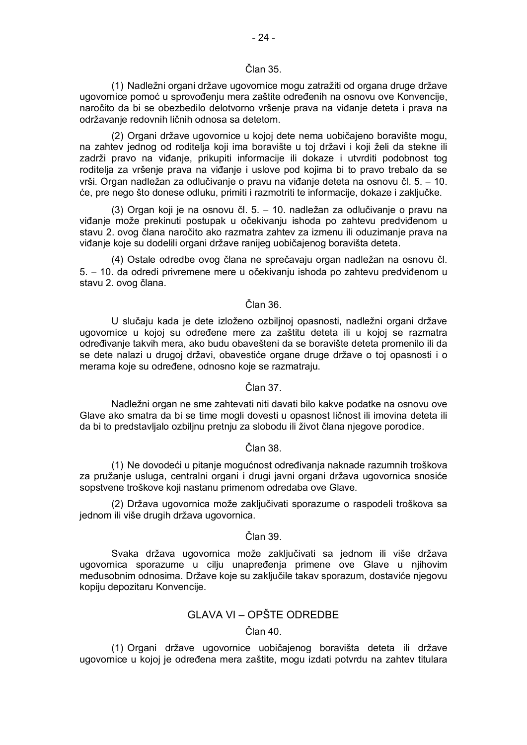(1) Nadležni organi države ugovornice mogu zatražiti od organa druge države ugovornice pomoć u sprovođenju mera zaštite određenih na osnovu ove Konvencije. naročito da bi se obezbedilo delotvorno vršenje prava na viđanje deteta i prava na održavanje redovnih ličnih odnosa sa detetom.

(2) Organi države ugovornice u kojoj dete nema uobičajeno boravište mogu, na zahtev jednog od roditelja koji ima boravište u toj državi i koji želi da stekne ili zadrži pravo na viđanje, prikupiti informacije ili dokaze i utvrditi podobnost tog roditelja za vršenje prava na viđanje i uslove pod kojima bi to pravo trebalo da se vrši. Organ nadležan za odlučivanje o pravu na viđanje deteta na osnovu čl. 5. – 10. će, pre nego što donese odluku, primiti i razmotriti te informacije, dokaze i zaključke.

(3) Organ koji je na osnovu čl. 5. - 10. nadležan za odlučivanje o pravu na viđanie može prekinuti postupak u očekivaniu ishoda po zahtevu predviđenom u stavu 2. ovog člana naročito ako razmatra zahtev za izmenu ili oduzimanje prava na viđanje koje su dodelili organi države ranijeg uobičajenog boravišta deteta.

(4) Ostale odredbe ovog člana ne sprečavaju organ nadležan na osnovu čl. 5. – 10. da odredi privremene mere u očekivanju ishoda po zahtevu predviđenom u stavu 2. ovog člana.

### Član 36

U slučaju kada je dete izloženo ozbiljnoj opasnosti, nadležni organi države ugovornice u kojoj su određene mere za zaštitu deteta ili u kojoj se razmatra određivanje takvih mera, ako budu obavešteni da se boravište deteta promenilo ili da se dete nalazi u drugoj državi, obavestiće organe druge države o toj opasnosti i o merama koje su određene, odnosno koje se razmatraju.

### Član 37.

Nadležni organ ne sme zahtevati niti davati bilo kakve podatke na osnovu ove Glave ako smatra da bi se time mogli dovesti u opasnost ličnost ili imovina deteta ili da bi to predstavljalo ozbiljnu pretnju za slobodu ili život člana njegove porodice.

#### Član 38.

(1) Ne dovodeći u pitanje mogućnost određivanja naknade razumnih troškova za pružanje usluga, centralni organi i drugi javni organi država ugovornica snosiće sopstvene troškove koji nastanu primenom odredaba ove Glave.

(2) Država ugovornica može zaključivati sporazume o raspodeli troškova sa jednom ili više drugih država ugovornica.

### Član 39

Svaka država ugovornica može zakliučivati sa jednom ili više država ugovornica sporazume u cilju unapređenja primene ove Glave u njihovim međusobnim odnosima. Države koje su zaključile takav sporazum, dostaviće njegovu kopiju depozitaru Konvencije.

# GLAVA VL – OPŠTE ODREDBE

### Član 40

(1) Organi države ugovornice uobičajenog boravišta deteta ili države ugovornice u kojoj je određena mera zaštite, mogu izdati potvrdu na zahtev titulara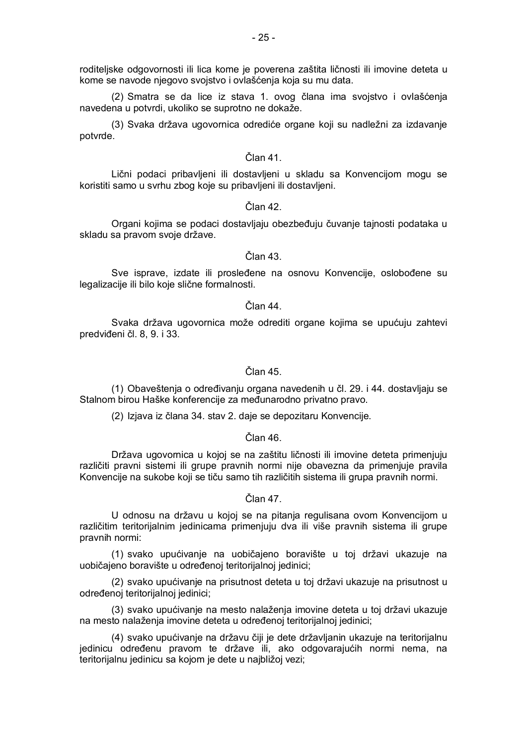roditeljske odgovornosti ili lica kome je poverena zaštita ličnosti ili imovine deteta u kome se navode njegovo svojstvo i ovlašćenja koja su mu data.

(2) Smatra se da lice iz stava 1. ovog člana ima svojstvo i ovlašćenja navedena u potvrdi, ukoliko se suprotno ne dokaže.

(3) Svaka država ugovornica odrediće organe koji su nadležni za izdavanje potvrde.

### $\check{\mathrm{C}}$ lan 41.

Lični podaci pribavljeni ili dostavljeni u skladu sa Konvencijom mogu se koristiti samo u svrhu zbog koje su pribavljeni ili dostavljeni.

### Član 42

Organi kojima se podaci dostavljaju obezbeđuju čuvanje tajnosti podataka u skladu sa pravom svoje države.

### Član 43

Sve isprave, izdate ili prosleđene na osnovu Konvencije, oslobođene su legalizacije ili bilo koje slične formalnosti.

### Član 44.

Svaka država ugovornica može odrediti organe kojima se upućuju zahtevi predviđeni čl. 8, 9. i 33.

#### Član 45.

(1) Obaveštenja o određivanju organa navedenih u čl. 29. i 44. dostavljaju se Stalnom birou Haške konferencije za međunarodno privatno pravo.

(2) Izjava iz člana 34. stav 2. daje se depozitaru Konvencije.

## Član 46.

Država ugovornica u kojoj se na zaštitu ličnosti ili imovine deteta primeniuju različiti pravni sistemi ili grupe pravnih normi nije obavezna da primenjuje pravila Konvencije na sukobe koji se tiču samo tih različitih sistema ili grupa pravnih normi.

## Član 47

U odnosu na državu u kojoj se na pitanja regulisana ovom Konvencijom u različitim teritorijalnim jedinicama primenjuju dva ili više pravnih sistema ili grupe pravnih normi:

(1) svako upućivanje na uobičajeno boravište u toj državi ukazuje na uobičajeno boravište u određenoj teritorijalnoj jedinici;

(2) svako upućivanje na prisutnost deteta u toj državi ukazuje na prisutnost u određenoj teritorijalnoj jedinici;

(3) svako upućivanje na mesto nalaženja imovine deteta u toj državi ukazuje na mesto nalaženja imovine deteta u određenoj teritorijalnoj jedinici;

(4) svako upućivanje na državu čiji je dete državljanin ukazuje na teritorijalnu jedinicu određenu pravom te države ili, ako odgovarajućih normi nema, na teritorijalnu jedinicu sa kojom je dete u najbližoj vezi;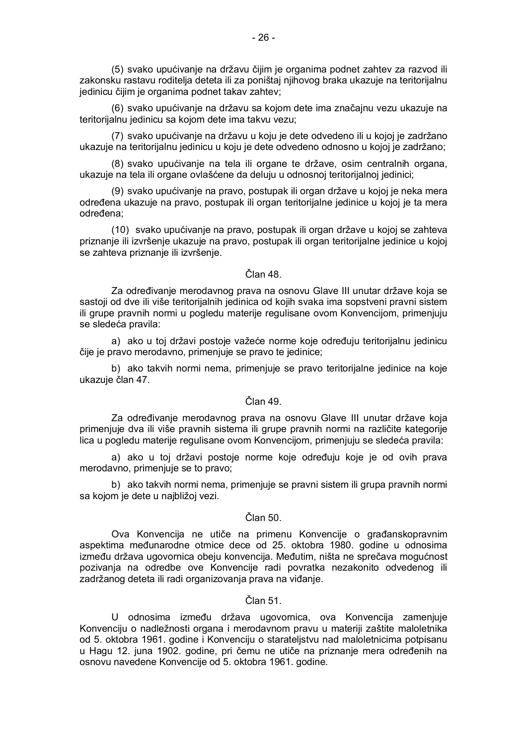(5) svako upućivanje na državu čijim je organima podnet zahtev za razvod ili zakonsku rastavu roditelja deteta ili za poništaj njihovog braka ukazuje na teritorijalnu jedinicu čijim je organima podnet takav zahtev;

(6) svako upućivanje na državu sa kojom dete ima značajnu vezu ukazuje na teritorijalnu jedinicu sa kojom dete ima takvu vezu;

(7) svako upućivanje na državu u koju je dete odvedeno ili u kojoj je zadržano ukazuje na teritorijalnu jedinicu u koju je dete odvedeno odnosno u kojoj je zadržano;

(8) svako upućivanje na tela ili organe te države, osim centralnih organa, ukazuje na tela ili organe ovlašćene da deluju u odnosnoj teritorijalnoj jedinici;

(9) svako upućivanje na pravo, postupak ili organ države u kojoj je neka mera određena ukazuje na pravo, postupak ili organ teritorijalne jedinice u kojoj je ta mera određena:

(10) svako upućivanje na pravo, postupak ili organ države u kojoj se zahteva priznanje ili izvršenje ukazuje na pravo, postupak ili organ teritorijalne jedinice u kojoj se zahteva priznanje ili izvršenje.

#### Član 48.

Za određivanie merodavnog prava na osnovu Glave III unutar države koja se sastoji od dve ili više teritorijalnih jedinica od kojih svaka ima sopstveni pravni sistem ili grupe pravnih normi u pogledu materije regulisane ovom Konvencijom, primeniuju se sledeća pravila:

a) ako u toj državi postoje važeće norme koje određuju teritorijalnu jedinicu čije je pravo merodavno, primenjuje se pravo te jedinice;

b) ako takvih normi nema, primenjuje se pravo teritorijalne jedinice na koje ukazuje član 47.

#### Član 49

Za određivanje merodavnog prava na osnovu Glave III unutar države koja primenjuje dva ili više pravnih sistema ili grupe pravnih normi na različite kategorije lica u pogledu materije regulisane ovom Konvencijom, primenjuju se sledeća pravila:

a) ako u toj državi postoje norme koje određuju koje je od ovih prava merodavno, primenjuje se to pravo;

b) ako takvih normi nema, primenjuje se pravni sistem ili grupa pravnih normi sa kojom je dete u najbližoj vezi.

#### Član 50.

Ova Konvencija ne utiče na primenu Konvencije o građanskopravnim aspektima međunarodne otmice dece od 25. oktobra 1980. godine u odnosima između država ugovornica obeju konvencija. Međutim, ništa ne sprečava mogućnost pozivanja na odredbe ove Konvencije radi povratka nezakonito odvedenog ili zadržanog deteta ili radi organizovanja prava na viđanje.

#### Član 51.

U odnosima između država ugovornica, ova Konvencija zamenjuje Konvenciju o nadležnosti organa i merodavnom pravu u materiji zaštite maloletnika od 5. oktobra 1961. godine i Konvenciju o starateljstvu nad maloletnicima potpisanu u Hagu 12. juna 1902, godine, pri čemu ne utiče na priznanje mera određenih na osnovu navedene Konvencije od 5. oktobra 1961. godine.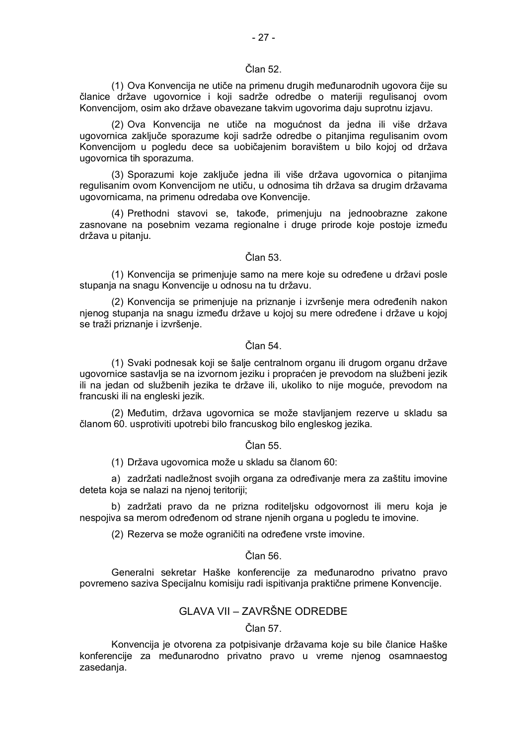(1) Ova Konvencija ne utiče na primenu drugih međunarodnih ugovora čije su članice države ugovornice i koji sadrže odredbe o materiji regulisanoj ovom Konvencijom, osim ako države obavezane takvim ugovorima daju suprotnu izjavu.

(2) Ova Konvencija ne utiče na mogućnost da jedna ili više država ugovornica zaključe sporazume koji sadrže odredbe o pitanjima regulisanim ovom Konvencijom u pogledu dece sa uobičajenim boravištem u bilo kojoj od država ugovornica tih sporazuma.

(3) Sporazumi koje zaključe jedna ili više država ugovornica o pitanjima regulisanim ovom Konvencijom ne utiču, u odnosima tih država sa drugim državama ugovornicama, na primenu odredaba ove Konvencije.

(4) Prethodni stavovi se, takođe, primenjuju na jednoobrazne zakone zasnovane na posebnim vezama regionalne i druge prirode koje postoje između država u pitanju.

#### Član 53.

(1) Konvencija se primenjuje samo na mere koje su određene u državi posle stupanja na snagu Konvencije u odnosu na tu državu.

(2) Konvencija se primenjuje na priznanje i izvršenje mera određenih nakon nienog stupania na snagu između države u kojoj su mere određene i države u kojoj se traži priznanje i izvršenje.

### Član 54

(1) Svaki podnesak koji se šalje centralnom organu ili drugom organu države ugovornice sastavlja se na izvornom jeziku i propraćen je prevodom na službeni jezik ili na jedan od službenih jezika te države ili, ukoliko to nije moguće, prevodom na francuski ili na engleski jezik.

(2) Međutim, država ugovornica se može stavljanjem rezerve u skladu sa članom 60. usprotiviti upotrebi bilo francuskog bilo engleskog jezika.

### Član 55

(1) Država ugovornica može u skladu sa članom 60:

a) zadržati nadležnost svojih organa za određivanje mera za zaštitu imovine deteta koja se nalazi na njenoj teritoriji;

b) zadržati pravo da ne prizna roditeljsku odgovornost ili meru koja je nespojiva sa merom određenom od strane njenih organa u pogledu te imovine.

(2) Rezerva se može ograničiti na određene vrste imovine.

### Član 56

Generalni sekretar Haške konferencije za međunarodno privatno pravo povremeno saziva Specijalnu komisiju radi ispitivanja praktične primene Konvencije.

# GLAVA VII - ZAVRŠNE ODREDBE

Član 57

Konvencija je otvorena za potpisivanje državama koje su bile članice Haške konferencije za međunarodno privatno pravo u vreme njenog osamnaestog zasedanja.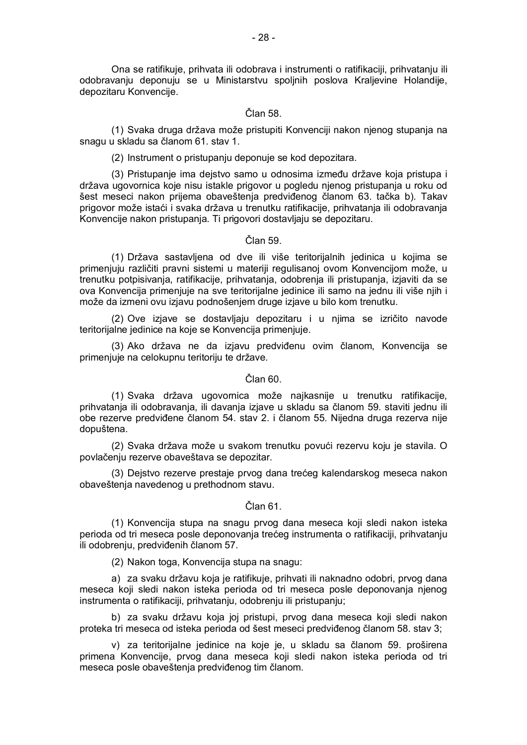(1) Svaka druga država može pristupiti Konvenciji nakon njenog stupanja na snagu u skladu sa članom 61. stav 1.

(2) Instrument o pristupanju deponuje se kod depozitara.

(3) Pristupanje ima dejstvo samo u odnosima između države koja pristupa i država ugovornica koje nisu istakle prigovor u pogledu njenog pristupanja u roku od šest meseci nakon prijema obaveštenja predviđenog članom 63. tačka b). Takav prigovor može istaći i svaka država u trenutku ratifikacije, prihvatanja ili odobravanja Konvencije nakon pristupanja. Ti prigovori dostavljaju se depozitaru.

# Član 59.

(1) Država sastavljena od dve ili više teritorijalnih jedinica u kojima se primenjuju različiti pravni sistemi u materiji regulisanoj ovom Konvencijom može, u trenutku potpisivanja, ratifikacije, prihvatanja, odobrenja ili pristupanja, izjaviti da se ova Konvencija primenjuje na sve teritorijalne jedinice ili samo na jednu ili više njih i može da izmeni ovu izjavu podnošenjem druge izjave u bilo kom trenutku.

(2) Ove izjave se dostavljaju depozitaru i u njima se izričito navode teritorijalne jedinice na koje se Konvencija primenjuje.

(3) Ako država ne da izjavu predviđenu ovim članom, Konvencija se primenjuje na celokupnu teritoriju te države.

### Član 60.

(1) Svaka država ugovornica može najkasnije u trenutku ratifikacije, prihvatania ili odobravania. ili davania iziave u skladu sa članom 59. staviti jednu ili obe rezerve predviđene članom 54. stav 2. i članom 55. Nijedna druga rezerva nije dopuštena.

(2) Svaka država može u svakom trenutku povući rezervu koju je stavila. O povlačenju rezerve obaveštava se depozitar.

(3) Dejstvo rezerve prestaje prvog dana trećeg kalendarskog meseca nakon obaveštenja navedenog u prethodnom stavu.

### $\text{Član }61.$

(1) Konvencija stupa na snagu prvog dana meseca koji sledi nakon isteka perioda od tri meseca posle deponovanja trećeg instrumenta o ratifikaciji, prihvatanju ili odobrenju, predviđenih članom 57.

(2) Nakon toga, Konvencija stupa na snagu:

a) za svaku državu koja je ratifikuje, prihvati ili naknadno odobri, prvog dana meseca koji sledi nakon isteka perioda od tri meseca posle deponovanja njenog instrumenta o ratifikaciji, prihvatanju, odobrenju ili pristupanju;

b) za svaku državu koja joj pristupi, prvog dana meseca koji sledi nakon proteka tri meseca od isteka perioda od šest meseci predviđenog članom 58. stav 3:

v) za teritorijalne jedinice na koje je, u skladu sa članom 59. proširena primena Konvencije, prvog dana meseca koji sledi nakon isteka perioda od tri meseca posle obaveštenja predviđenog tim članom.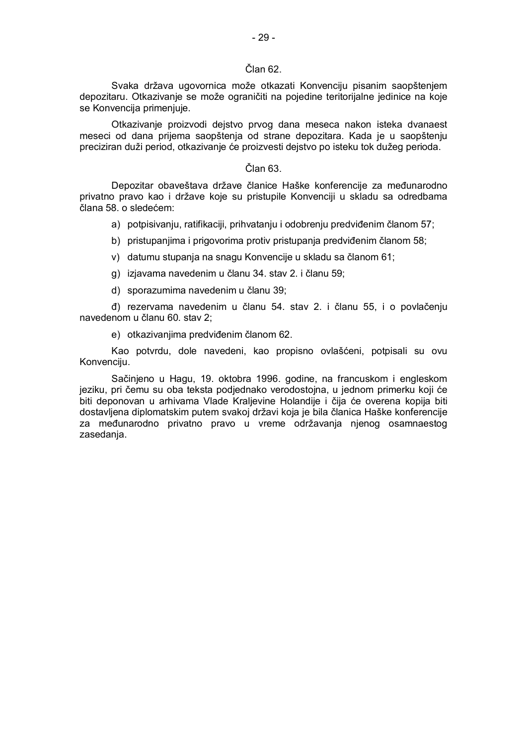Svaka država ugovornica može otkazati Konvenciju pisanim saopšteniem depozitaru. Otkazivanie se može ograničiti na pojedine teritorijalne jedinice na koje se Konvencija primenjuje.

Otkazivanje proizvodi dejstvo prvog dana meseca nakon isteka dvanaest meseci od dana prijema saopštenja od strane depozitara. Kada je u saopštenju preciziran duži period, otkazivanje će proizvesti dejstvo po isteku tok dužeg perioda.

### Član 63.

Depozitar obaveštava države članice Haške konferencije za međunarodno privatno pravo kao i države koje su pristupile Konvenciji u skladu sa odredbama člana 58. o sledećem:

a) potpisivanju, ratifikaciji, prihvatanju i odobrenju predviđenim članom 57;

- b) pristupanjima i prigovorima protiv pristupanja predviđenim članom 58;
- v) datumu stupanja na snagu Konvencije u skladu sa članom 61;
- g) izjavama navedenim u članu 34. stav 2. i članu 59;
- d) sporazumima navedenim u članu 39;

đ) rezervama navedenim u članu 54. stav 2. i članu 55. i o povlačeniu navedenom u članu 60. stav 2:

e) otkazivanjima predviđenim članom 62.

Kao potvrdu, dole navedeni, kao propisno ovlašćeni, potpisali su ovu Konvenciju.

Sačinjeno u Hagu, 19. oktobra 1996. godine, na francuskom i engleskom jeziku, pri čemu su oba teksta podjednako verodostojna, u jednom primerku koji će biti deponovan u arhivama Vlade Kraljevine Holandije i čija će overena kopija biti dostavljena diplomatskim putem svakoj državi koja je bila članica Haške konferencije za međunarodno privatno pravo u vreme održavania nienog osamnaestog zasedanja.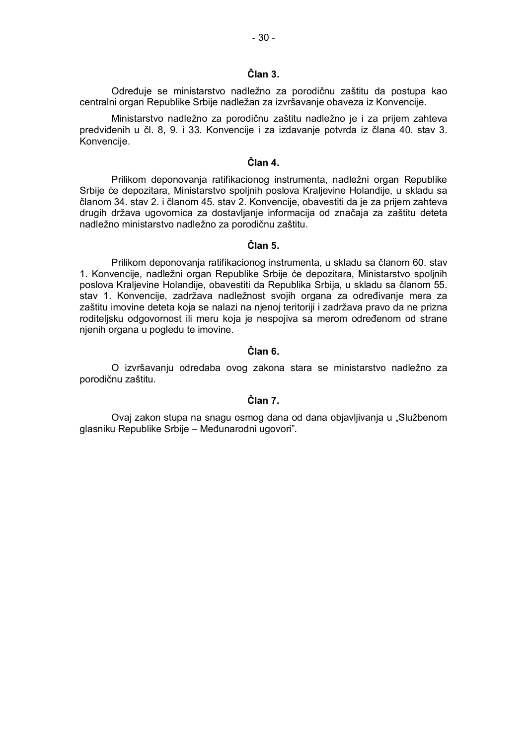### Član 3.

Određuje se ministarstvo nadležno za porodičnu zaštitu da postupa kao centralni organ Republike Srbije nadležan za izvršavanje obaveza iz Konvencije.

Ministarstvo nadležno za porodičnu zaštitu nadležno je i za prijem zahteva predviđenih u čl. 8, 9. i 33. Konvencije i za izdavanje potvrda iz člana 40. stav 3. Konvencije.

# $\check{\mathsf{C}}$ lan 4

Prilikom deponovanja ratifikacionog instrumenta, nadležni organ Republike Srbije će depozitara. Ministarstvo spolinih poslova Kraljevine Holandije, u skladu sa članom 34. stav 2. i članom 45. stav 2. Konvencije, obavestiti da je za prijem zahteva drugih država ugovornica za dostavljanje informacija od značaja za zaštitu deteta nadležno ministarstvo nadležno za porodičnu zaštitu.

#### Član 5.

Prilikom deponovanja ratifikacionog instrumenta, u skladu sa članom 60. stav 1. Konvencije, nadležni organ Republike Srbije će depozitara, Ministarstvo spoljnih poslova Kraljevine Holandije, obavestiti da Republika Srbija, u skladu sa članom 55. stav 1. Konvencije, zadržava nadležnost svojih organa za određivanje mera za zaštitu imovine deteta koja se nalazi na njenoj teritoriji i zadržava pravo da ne prizna roditeljsku odgovornost ili meru koja je nespojiva sa merom određenom od strane nienih organa u pogledu te imovine.

# Član 6.

O izvršavanju odredaba ovog zakona stara se ministarstvo nadležno za porodičnu zaštitu.

### Član 7.

Ovai zakon stupa na snagu osmog dana od dana objavljivanja u "Službenom glasniku Republike Srbije - Međunarodni ugovori".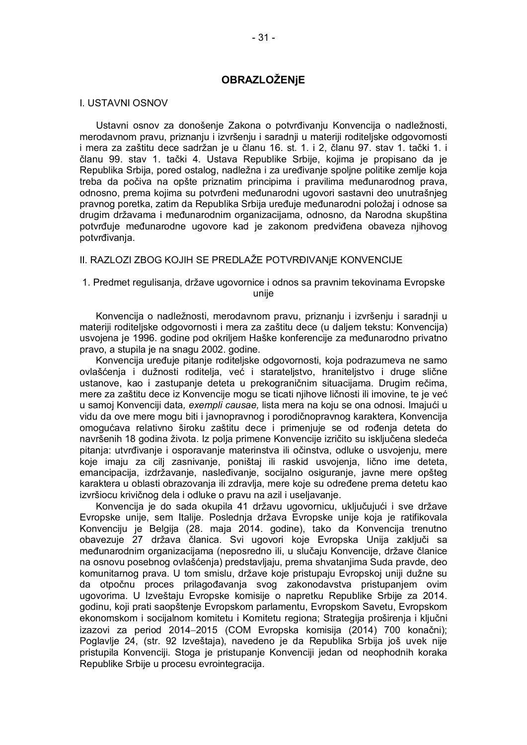### **I. USTAVNI OSNOV**

Ustavni osnov za donošenje Zakona o potvrđivanju Konvencija o nadležnosti, merodavnom pravu, priznanju i izvršenju i saradnij u materiji roditeljske odgovornosti i mera za zaštitu dece sadržan je u članu 16. st. 1. i 2, članu 97. stav 1. tački 1. i članu 99. stav 1. tački 4. Ustava Republike Srbije, kojima je propisano da je Republika Srbija, pored ostalog, nadležna i za uređivanje spoljne politike zemlje koja treba da počiva na opšte priznatim principima i pravilima međunarodnog prava, odnosno, prema kojima su potvrđeni međunarodni ugovori sastavni deo unutrašnjeg pravnog poretka, zatim da Republika Srbija uređuje međunarodni položaj i odnose sa drugim državama i međunarodnim organizacijama, odnosno, da Narodna skupština potvrđuje međunarodne ugovore kad je zakonom predviđena obaveza njihovog potvrđivania.

# II. RAZLOZI ZBOG KOJIH SE PREDLAŽE POTVRĐIVANJE KONVENCIJE

### 1. Predmet regulisanja, države ugovornice i odnos sa pravnim tekovinama Evropske unije

Konvencija o nadležnosti, merodavnom pravu, priznanju i izvršenju i saradnij u materiji roditeliske odgovornosti i mera za zaštitu dece (u daljem tekstu: Konvencija) usvojena je 1996. godine pod okriljem Haške konferencije za međunarodno privatno pravo, a stupila je na snagu 2002. godine.

Konvencija uređuje pitanje roditeljske odgovornosti, koja podrazumeva ne samo ovlašćenja i dužnosti roditelja, već i starateljstvo, hraniteljstvo i druge slične ustanove, kao i zastupanje deteta u prekograničnim situacijama. Drugim rečima, mere za zaštitu dece iz Konvencije mogu se ticati nijhove ličnosti ili imovine, te je već u samoj Konvenciji data, exempli causae, lista mera na koju se ona odnosi. Imajući u vidu da ove mere mogu biti i javnopravnog i porodičnopravnog karaktera, Konvencija omogućava relativno široku zaštitu dece i primenjuje se od rođenja deteta do navršenih 18 godina života. Iz polja primene Konvencije izričito su isključena sledeća pitania: utvrđivanje i osporavanje materinstva ili očinstva, odluke o usvojenju, mere koje imaju za cili zasnivanje, poništaj ili raskid usvojenja, lično ime deteta, emancipacija, izdržavanje, nasleđivanje, socijalno osiguranje, javne mere opšteg karaktera u oblasti obrazovanja ili zdravlja, mere koje su određene prema detetu kao izvršiocu krivičnog dela i odluke o pravu na azil i useljavanje.

Konvencija je do sada okupila 41 državu ugovornicu, uključujući i sve države Evropske unije, sem Italije. Poslednja država Evropske unije koja je ratifikovala Konvenciju je Belgija (28. maja 2014. godine), tako da Konvencija trenutno obavezuje 27 država članica. Svi ugovori koje Evropska Unija zaključi sa međunarodnim organizacijama (neposredno ili, u slučaju Konvencije, države članice na osnovu posebnog ovlašćenja) predstavljaju, prema shvatanjima Suda pravde, deo komunitarnog prava. U tom smislu, države koje pristupaju Evropskoj uniji dužne su da otpočnu proces prilagođavanja svog zakonodavstva pristupanjem ovim ugovorima. U Izveštaju Evropske komisije o napretku Republike Srbije za 2014. godinu, koji prati saopštenje Evropskom parlamentu, Evropskom Savetu, Evropskom ekonomskom i socijalnom komitetu i Komitetu regiona; Strategija proširenja i ključni izazovi za period 2014–2015 (COM Evropska komisija (2014) 700 konačni); Poglavlje 24, (str. 92 Izveštaja), navedeno je da Republika Srbija još uvek nije pristupila Konvenciji. Stoga je pristupanje Konvenciji jedan od neophodnih koraka Republike Srbije u procesu evrointegracija.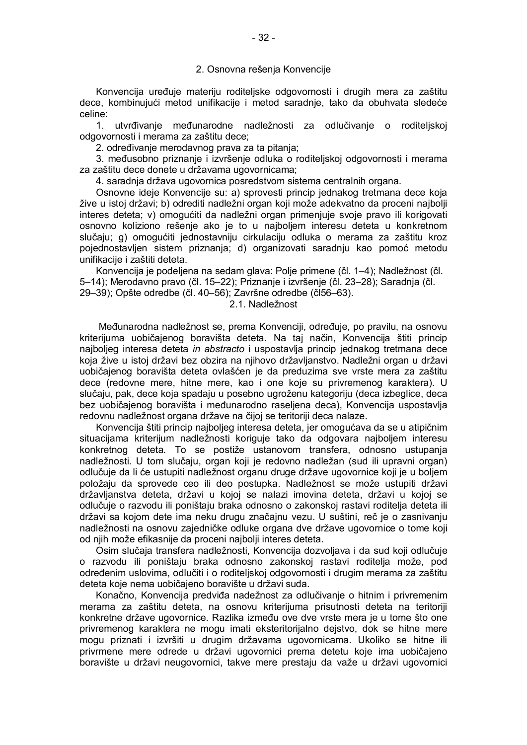### 2. Osnovna rešenja Konvencije

Konvencija uređuje materiju roditeljske odgovornosti i drugih mera za zaštitu dece, kombinujući metod unifikacije i metod saradnje, tako da obuhvata sledeće celine:

1. utvrđivanje međunarodne nadležnosti za odlučivanje o roditeljskoj odgovornosti i merama za zaštitu dece:

2. određivanje merodavnog prava za ta pitanja;

3. međusobno priznanje i izvršenje odluka o roditeljskoj odgovornosti i merama za zaštitu dece donete u državama ugovornicama;

4. saradnja država ugovornica posredstvom sistema centralnih organa.

Osnovne ideje Konvencije su: a) sprovesti princip jednakog tretmana dece koja žive u istoj državi; b) odrediti nadležni organ koji može adekvatno da proceni najbolji interes deteta; y) omogućiti da nadležni organ primenjuje svoje pravo ili korigovati osnovno koliziono rešenje ako je to u najboljem interesu deteta u konkretnom slučaju; g) omogućiti jednostavniju cirkulaciju odluka o merama za zaštitu kroz pojednostavljen sistem priznanja; d) organizovati saradnju kao pomoć metodu unifikacije i zaštiti deteta.

Konvencija je podeljena na sedam glava: Polje primene (čl. 1–4); Nadležnost (čl. 5–14); Merodavno pravo (čl. 15–22); Priznanje i izvršenje (čl. 23–28); Saradnja (čl.

29-39); Opšte odredbe (čl. 40-56); Završne odredbe (čl56–63).

2.1. Nadležnost

Međunarodna nadležnost se, prema Konvenciji, određuje, po pravilu, na osnovu kriterijuma uobičajenog boravišta deteta. Na tai način, Konvencija štiti princip najboljeg interesa deteta *in abstracto* i uspostavlja princip jednakog tretmana dece koja žive u istoj državi bez obzira na njihovo državljanstvo. Nadležni organ u državi uobičajenog boravišta deteta ovlašćen je da preduzima sve vrste mera za zaštitu dece (redovne mere, hitne mere, kao i one koje su privremenog karaktera). U slučaju, pak, dece koja spadaju u posebno ugroženu kategoriju (deca izbeglice, deca bez uobičajenog boravišta i međunarodno raseljena deca), Konvencija uspostavlja redovnu nadležnost organa države na čijoj se teritoriji deca nalaze.

Konvencija štiti princip najboljeg interesa deteta, jer omogućava da se u atipičnim situacijama kriterijum nadležnosti koriguje tako da odgovara najboljem interesu konkretnog deteta. To se postiže ustanovom transfera, odnosno ustupanja nadležnosti. U tom slučaju, organ koji je redovno nadležan (sud ili upravni organ) odlučuje da li će ustupiti nadležnost organu druge države ugovornice koji je u boljem položaju da sprovede ceo ili deo postupka. Nadležnost se može ustupiti državi državljanstva deteta, državi u kojoj se nalazi imovina deteta, državi u kojoj se odlučuje o razvodu ili poništaju braka odnosno o zakonskoj rastavi roditelja deteta ili državi sa kojom dete ima neku drugu značajnu vezu. U suštini, reč je o zasnivanju nadležnosti na osnovu zajedničke odluke organa dve države ugovornice o tome koji od njih može efikasnije da proceni najbolji interes deteta.

Osim slučaja transfera nadležnosti, Konvencija dozvoljava i da sud koji odlučuje o razvodu ili poništaju braka odnosno zakonskoj rastavi roditelja može, pod određenim uslovima, odlučiti i o roditeljskoj odgovornosti i drugim merama za zaštitu deteta koje nema uobičajeno boravište u državi suda.

Konačno, Konvencija predviđa nadežnost za odlučivanje o hitnim i privremenim merama za zaštitu deteta, na osnovu kriterijuma prisutnosti deteta na teritoriji konkretne države ugovornice. Razlika između ove dve vrste mera je u tome što one privremenog karaktera ne mogu imati eksteritorijalno deistvo, dok se hitne mere moqu priznati i izvršiti u drugim državama ugovornicama. Ukoliko se hitne ili privrmene mere odrede u državi ugovornici prema detetu koje ima uobičajeno boravište u državi neugovornici, takve mere prestaju da važe u državi ugovornici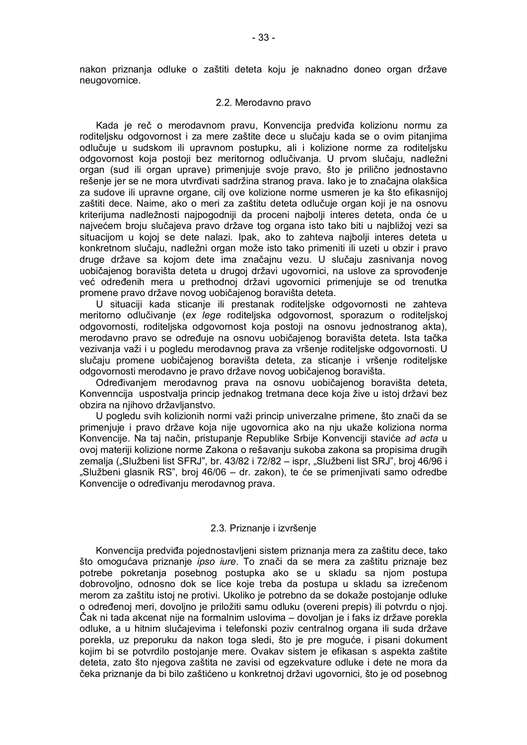nakon priznanja odluke o zaštiti deteta koju je naknadno doneo organ države neugovornice.

#### 2.2. Merodavno pravo

Kada je reč o merodavnom pravu, Konvencija predviđa kolizionu normu za roditelisku odgovornost i za mere zaštite dece u slučaju kada se o ovim pitanjima odlučuje u sudskom ili upravnom postupku, ali i kolizione norme za roditeljsku odgovornost koja postoji bez meritornog odlučivanja. U prvom slučaju, nadležni organ (sud ili organ uprave) primenjuje svoje pravo, što je prilično jednostavno rešenje jer se ne mora utvrđivati sadržina stranog prava. Iako je to značajna olakšica za sudove ili upravne organe, cili ove kolizione norme usmeren je ka što efikasnijoj zaštiti dece. Naime, ako o meri za zaštitu deteta odlučuje organ koji je na osnovu kriterijuma nadležnosti najpogodniji da proceni najbolji interes deteta, onda će u najvećem broju slučajeva pravo države tog organa isto tako biti u najbližoj vezi sa situacijom u kojoj se dete nalazi. Ipak, ako to zahteva najbolji interes deteta u konkretnom slučaju, nadležni organ može isto tako primeniti ili uzeti u obzir i pravo druge države sa kojom dete ima značajnu vezu. U slučaju zasnivanja novog uobičajenog boravišta deteta u drugoj državi ugovornici, na uslove za sprovođenje već određenih mera u prethodnoj državi ugovornici primenjuje se od trenutka promene pravo države novog uobičajenog boravišta deteta.

U situaciji kada sticanje ili prestanak roditeljske odgovornosti ne zahteva meritorno odlučivanje (ex lege roditeljska odgovornost, sporazum o roditeljskoj odgovornosti, roditeliska odgovornost koja postoji na osnovu jednostranog akta). merodavno pravo se određuje na osnovu uobičajenog boravišta deteta. Ista tačka vezivanja važi i u pogledu merodavnog prava za vršenje roditeljske odgovornosti. U slučaju promene uobičajenog boravišta deteta, za sticanje i vršenje roditeljske odgovornosti merodavno je pravo države novog uobičajenog boravišta.

Određivanjem merodavnog prava na osnovu uobičajenog boravišta deteta, Konvenncija uspostvalja princip jednakog tretmana dece koja žive u istoj državi bez obzira na nijhovo državljanstvo.

U pogledu svih kolizionih normi važi princip univerzalne primene, što znači da se primenjuje i pravo države koja nije ugovornica ako na nju ukaže koliziona norma Konvencije. Na taj način, pristupanje Republike Srbije Konvenciji staviće ad acta u ovoj materiji kolizione norme Zakona o rešavanju sukoba zakona sa propisima drugih zemalja ("Službeni list SFRJ", br. 43/82 i 72/82 - ispr. "Službeni list SRJ", broj 46/96 i "Službeni glasnik RS", broj 46/06 - dr. zakon), te će se primenjivati samo odredbe Konvencije o određivanju merodavnog prava.

#### 2.3. Priznanie i izvršenie

Konvencija predviđa pojednostavljeni sistem priznanja mera za zaštitu dece, tako što omogućava priznanje ipso iure. To znači da se mera za zaštitu priznaje bez potrebe pokretanja posebnog postupka ako se u skladu sa njom postupa dobrovoljno, odnosno dok se lice koje treba da postupa u skladu sa izrečenom merom za zaštitu istoj ne protivi. Ukoliko je potrebno da se dokaže postojanje odluke o određenoj meri, dovolino je priložiti samu odluku (overeni prepis) ili potvrdu o nioj. Čak ni tada akcenat nije na formalnim uslovima – dovoljan je i faks iz države porekla odluke, a u hitnim slučajevima i telefonski poziv centralnog organa ili suda države porekla, uz preporuku da nakon toga sledi, što je pre moguće, i pisani dokument kojim bi se potvrdilo postojanje mere. Ovakav sistem je efikasan s aspekta zaštite deteta, zato što njegova zaštita ne zavisi od egzekvature odluke i dete ne mora da čeka priznanje da bi bilo zaštićeno u konkretnoj državi ugovornici, što je od posebnog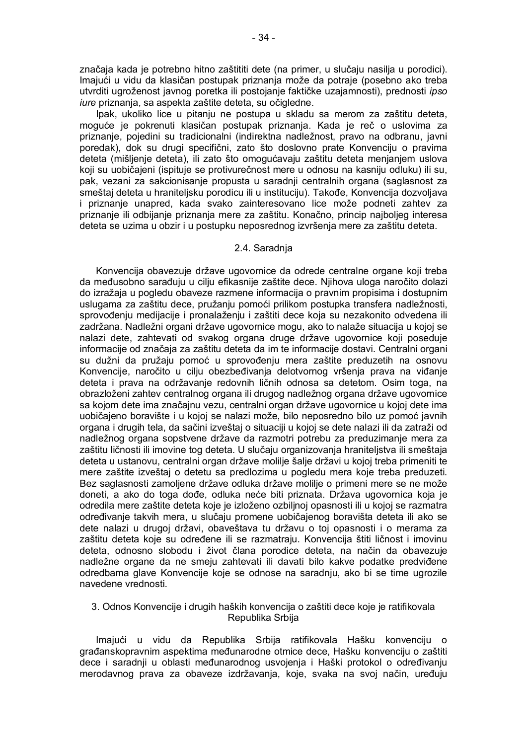značaja kada je potrebno hitno zaštititi dete (na primer, u slučaju nasilja u porodici). Imajući u vidu da klasičan postupak priznanja može da potraje (posebno ako treba utvrditi ugroženost javnog poretka ili postojanje faktičke uzajamnosti), prednosti *ipso iure* priznanja, sa aspekta zaštite deteta, su očigledne.

Ipak, ukoliko lice u pitanju ne postupa u skladu sa merom za zaštitu deteta, moguće je pokrenuti klasičan postupak priznanja. Kada je reč o uslovima za priznanje, pojedini su tradicionalni (indirektna nadležnost, pravo na odbranu, javni poredak), dok su drugi specifični, zato što doslovno prate Konvenciju o pravima deteta (mišljenje deteta), ili zato što omogućavaju zaštitu deteta menjanjem uslova koji su uobičajeni (ispituje se protivurečnost mere u odnosu na kasniju odluku) ili su, pak, vezani za sakcionisanje propusta u saradnji centralnih organa (saglasnost za smeštaj deteta u hraniteljsku porodicu ili u instituciju). Takođe, Konvencija dozvoljava i priznanje unapred, kada svako zainteresovano lice može podneti zahtev za priznanje ili odbijanje priznanja mere za zaštitu. Konačno, princip najboljeg interesa deteta se uzima u obzir i u postupku neposrednog izvršenja mere za zaštitu deteta.

### 2.4. Saradnia

Konvencija obavezuje države ugovornice da odrede centralne organe koji treba da međusobno sarađuju u cilju efikasnije zaštite dece. Njihova uloga naročito dolazi do izražaja u pogledu obaveze razmene informacija o pravnim propisima i dostupnim uslugama za zaštitu dece, pružanju pomoći prilikom postupka transfera nadležnosti, sprovođeniu medijacije i pronalaženiu i zaštiti dece koja su nezakonito odvedena ili zadržana. Nadležni organi države ugovornice mogu, ako to nalaže situacija u kojoj se nalazi dete, zahtevati od svakog organa druge države ugovornice koji poseduje informacije od značaja za zaštitu deteta da im te informacije dostavi. Centralni organi su dužni da pružaju pomoć u sprovođenju mera zaštite preduzetih na osnovu Konvencije, naročito u cilju obezbeđivanja delotvornog vršenja prava na viđanje deteta i prava na održavanje redovnih ličnih odnosa sa detetom. Osim toga, na obrazloženi zahtev centralnog organa ili drugog nadležnog organa države ugovornice sa kojom dete ima značajnu vezu, centralni organ države ugovornice u kojoj dete ima uobičajeno boravište i u kojoj se nalazi može, bilo neposredno bilo uz pomoć javnih organa i drugih tela, da sačini izveštaj o situaciji u kojoj se dete nalazi ili da zatraži od nadležnog organa sopstvene države da razmotri potrebu za preduzimanje mera za zaštitu ličnosti ili imovine tog deteta. U slučaju organizovanja hraniteljstva ili smeštaja deteta u ustanovu, centralni organ države molilje šalje državi u kojoj treba primeniti te mere zaštite izveštaj o detetu sa predlozima u pogledu mera koje treba preduzeti. Bez saglasnosti zamoljene države odluka države molilje o primeni mere se ne može doneti, a ako do toga dođe, odluka neće biti priznata. Država ugovornica koja je odredila mere zaštite deteta koje je izloženo ozbiljnoj opasnosti ili u kojoj se razmatra određivanje takvih mera, u slučaju promene uobičajenog boravišta deteta ili ako se dete nalazi u drugoj državi, obaveštava tu državu o toj opasnosti i o merama za zaštitu deteta koje su određene ili se razmatraju. Konvencija štiti ličnost i imovinu deteta, odnosno slobodu i život člana porodice deteta, na način da obavezuje nadležne organe da ne smeju zahtevati ili davati bilo kakve podatke predviđene odredbama glave Konvencije koje se odnose na saradnju, ako bi se time ugrozile navedene vrednosti.

### 3. Odnos Konvencije i drugih haških konvencija o zaštiti dece koje je ratifikovala Republika Srbija

Imajući u vidu da Republika Srbija ratifikovala Hašku konvenciju o građanskopravnim aspektima međunarodne otmice dece, Hašku konvenciju o zaštiti dece i saradnji u oblasti međunarodnog usvojenja i Haški protokol o određivanju merodavnog prava za obaveze izdržavanja, koje, svaka na svoj način, uređuju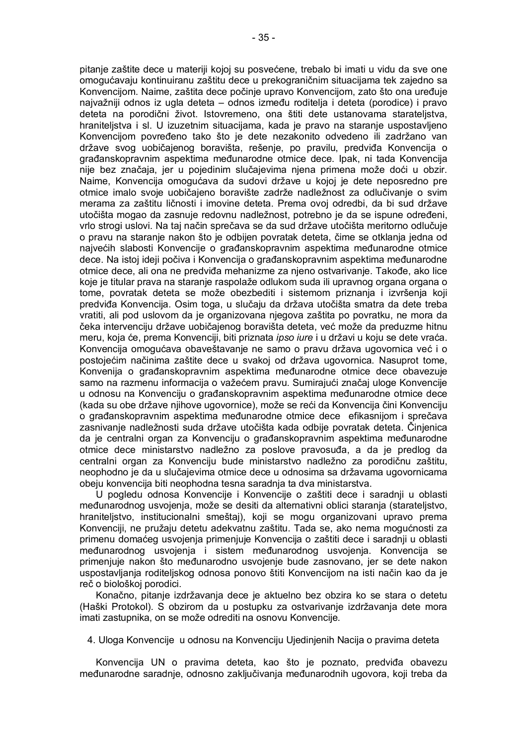pitanje zaštite dece u materiji kojoj su posvećene, trebalo bi imati u vidu da sve one omogućavaju kontinuiranu zaštitu dece u prekograničnim situacijama tek zajedno sa Konvencijom. Naime, zaštita dece počinje upravo Konvencijom, zato što ona uređuje najvažniji odnos iz ugla deteta - odnos između roditelja i deteta (porodice) i pravo deteta na porodični život. Istovremeno, ona štiti dete ustanovama staratelistva. hraniteljstva i sl. U izuzetnim situacijama, kada je pravo na staranje uspostavljeno Konvencijom povređeno tako što je dete nezakonito odvedeno ili zadržano van države svog uobičajenog boravišta, rešenje, po pravilu, predviđa Konvencija o građanskopravnim aspektima međunarodne otmice dece. Ipak, ni tada Konvencija nije bez značaja, jer u pojedinim slučajevima njena primena može doći u obzir. Naime, Konvencija omogućava da sudovi države u kojoj je dete neposredno pre otmice imalo svoje uobičajeno boravište zadrže nadležnost za odlučivanje o svim merama za zaštitu ličnosti i imovine deteta. Prema ovoj odredbi, da bi sud države utočišta mogao da zasnuje redovnu nadležnost, potrebno je da se ispune određeni, vrlo strogi uslovi. Na taj način sprečava se da sud države utočišta meritorno odlučuje o pravu na staranje nakon što je odbijen povratak deteta, čime se otklanja jedna od naivećih slabosti Konvencije o građanskopravnim aspektima međunarodne otmice dece. Na istoj ideji počiva i Konvencija o građanskopravnim aspektima međunarodne otmice dece, ali ona ne predviđa mehanizme za nieno ostvarivanie. Takođe, ako lice koje je titular prava na staranje raspolaže odlukom suda ili upravnog organa organa o tome, povratak deteta se može obezbediti i sistemom priznanja i izvršenja koji predviđa Konvencija. Osim toga, u slučaju da država utočišta smatra da dete treba vratiti, ali pod uslovom da je organizovana njegova zaštita po povratku, ne mora da čeka intervenciju države uobičajenog boravišta deteta, već može da preduzme hitnu meru, koja će, prema Konvenciji, biti priznata *ipso jure* i u državi u koju se dete vraća. Konvencija omogućava obaveštavanje ne samo o pravu država ugovornica već i o postojećim načinima zaštite dece u svakoj od država ugovornica. Nasuprot tome, Konvenija o građanskopravnim aspektima međunarodne otmice dece obavezuje samo na razmenu informacija o važećem pravu. Sumirajući značaj uloge Konvencije u odnosu na Konvenciju o građanskopravnim aspektima međunarodne otmice dece (kada su obe države njihove ugovornice), može se reći da Konvencija čini Konvenciju o građanskopravnim aspektima međunarodne otmice dece efikasnijom i sprečava zasnivanje nadležnosti suda države utočišta kada odbije povratak deteta. Činjenica da je centralni organ za Konvenciju o građanskopravnim aspektima međunarodne otmice dece ministarstvo nadležno za poslove pravosuđa, a da je predlog da centralni organ za Konvenciju bude ministarstvo nadležno za porodičnu zaštitu, neophodno je da u slučajevima otmice dece u odnosima sa državama ugovornicama obeju konvencija biti neophodna tesna saradnja ta dva ministarstva.

U pogledu odnosa Konvencije i Konvencije o zaštiti dece i saradnji u oblasti međunarodnog usvojenja, može se desiti da alternativni oblici staranja (starateljstvo, hraniteljstvo, institucionalni smeštaj), koji se mogu organizovani upravo prema Konvenciii, ne pružaju detetu adekvatnu zaštitu. Tada se, ako nema mogućnosti za primenu domaćeg usvojenja primenjuje Konvencija o zaštiti dece i saradnji u oblasti međunarodnog usvojenja i sistem međunarodnog usvojenja. Konvencija se primenjuje nakon što međunarodno usvojenje bude zasnovano, jer se dete nakon uspostavljanja roditeljskog odnosa ponovo štiti Konvencijom na isti način kao da je reč o biološkoj porodici.

Konačno, pitanje izdržavanja dece je aktuelno bez obzira ko se stara o detetu (Haški Protokol). S obzirom da u postupku za ostvarivanie izdržavania dete mora imati zastupnika, on se može odrediti na osnovu Konvencije.

4. Uloga Konvencije u odnosu na Konvenciju Ujedinjenih Nacija o pravima deteta

Konvencija UN o pravima deteta, kao što je poznato, predviđa obavezu međunarodne saradnje, odnosno zaključivanja međunarodnih ugovora, koji treba da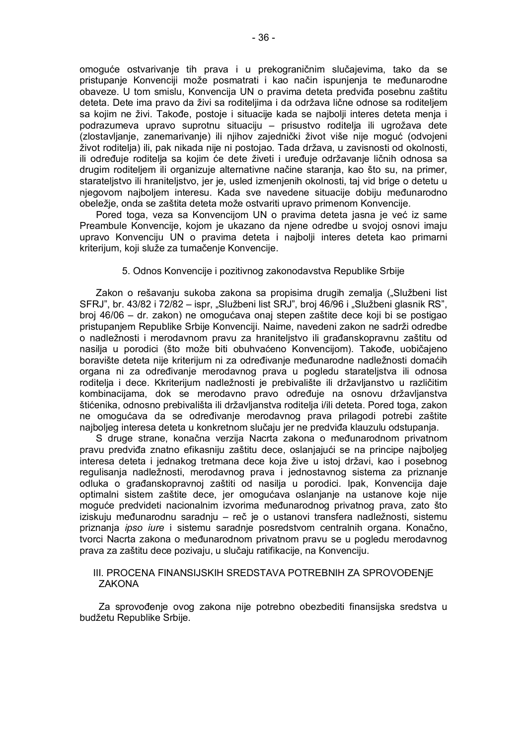omoguće ostvarivanje tih prava i u prekograničnim slučajevima, tako da se pristupanje Konvenciji može posmatrati i kao način ispunjenja te međunarodne obaveze. U tom smislu, Konvencija UN o pravima deteta predviđa posebnu zaštitu deteta. Dete ima pravo da živi sa roditeljima i da održava lične odnose sa roditeljem sa kojim ne živi. Takođe, postoje i situacije kada se najbolji interes deteta menja i podrazumeva upravo suprotnu situaciju - prisustvo roditelja ili ugrožava dete (zlostavljanje, zanemarivanje) ili njihov zajednički život više nije moguć (odvojeni život roditelja) ili, pak nikada nije ni postojao. Tada država, u zavisnosti od okolnosti, ili određuje roditelja sa kojim će dete živeti i uređuje održavanje ličnih odnosa sa drugim roditeljem ili organizuje alternativne načine staranja, kao što su, na primer, staratelistvo ili hranitelistvo, jer je, usled izmenjenih okolnosti, taj vid brige o detetu u njegovom najboljem interesu. Kada sve navedene situacije dobiju međunarodno obeležje, onda se zaštita deteta može ostvariti upravo primenom Konvencije.

Pored toga, veza sa Konvencijom UN o pravima deteta jasna je već iz same Preambule Konvencije, kojom je ukazano da njene odredbe u svojoj osnovi imaju upravo Konvenciju UN o pravima deteta i najbolji interes deteta kao primarni kriterijum, koji služe za tumačenie Konvencije.

#### 5. Odnos Konvencije i pozitivnog zakonodavstva Republike Srbije

Zakon o rešavanju sukoba zakona sa propisima drugih zemalja ("Službeni list SFRJ", br. 43/82 i 72/82 – ispr. "Službeni list SRJ", broj 46/96 i "Službeni glasnik RS", broi 46/06 – dr. zakon) ne omogućava onaj stepen zaštite dece koji bi se postigao pristupaniem Republike Srbije Konvenciji. Najme, navedeni zakon ne sadrži odredbe o nadležnosti i merodavnom pravu za hranitelistvo ili građanskopravnu zaštitu od nasilja u porodici (što može biti obuhvaćeno Konvencijom). Takođe, uobičajeno boravište deteta nije kriterijum ni za određivanje međunarodne nadležnosti domaćih organa ni za određivanje merodavnog prava u pogledu starateljstva ili odnosa roditelja i dece. Kkriterijum nadležnosti je prebivalište ili državljanstvo u različitim kombinacijama, dok se merodavno pravo određuje na osnovu državljanstva štićenika, odnosno prebivališta ili državljanstva roditelja i/ili deteta. Pored toga, zakon ne omogućava da se određivanje merodavnog prava prilagodi potrebi zaštite najboljeg interesa deteta u konkretnom slučaju jer ne predviđa klauzulu odstupanja.

S druge strane, konačna verzija Nacrta zakona o međunarodnom privatnom pravu predviđa znatno efikasniju zaštitu dece, oslanjajući se na principe najboljeg interesa deteta i jednakog tretmana dece koja žive u istoj državi, kao i posebnog regulisanja nadležnosti, merodavnog prava i jednostavnog sistema za priznanje odluka o građanskopravnoj zaštiti od nasilja u porodici. Ipak, Konvencija daje optimalni sistem zaštite dece, jer omogućava oslanjanje na ustanove koje nije moguće predvideti nacionalnim izvorima međunarodnog privatnog prava, zato što iziskuju međunarodnu saradnju – reč je o ustanovi transfera nadležnosti, sistemu priznanja *ipso jure* i sistemu saradnje posredstvom centralnih organa. Konačno, tvorci Nacrta zakona o međunarodnom privatnom pravu se u pogledu merodavnog prava za zaštitu dece pozivaju, u slučaju ratifikacije, na Konvenciju.

#### III. PROCENA FINANSIJSKIH SREDSTAVA POTREBNIH ZA SPROVOĐENIE **ZAKONA**

Za sprovođenje ovog zakona nije potrebno obezbediti finansijska sredstva u budžetu Republike Srbije.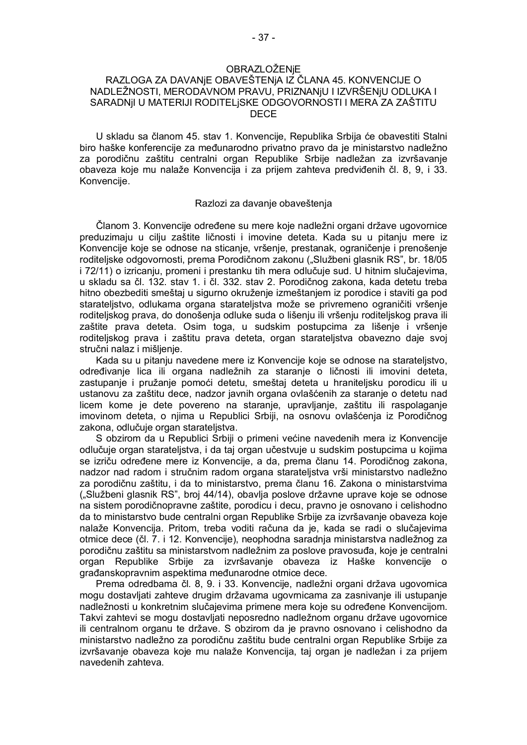### RAZLOGA ZA DAVANJE OBAVEŠTENJA IZ ČLANA 45. KONVENCIJE O NADLEŽNOSTI, MERODAVNOM PRAVU, PRIZNANJU I IZVRŠENJU ODLUKA I SARADNII U MATERIJI RODITELISKE ODGOVORNOSTI I MERA ZA ZAŠTITU **DECE**

U skladu sa članom 45. stav 1. Konvencije, Republika Srbija će obavestiti Stalni biro haške konferencije za međunarodno privatno pravo da je ministarstvo nadležno za porodičnu zaštitu centralni organ Republike Srbije nadležan za izvršavanje obaveza koje mu nalaže Konvencija i za prijem zahteva predviđenih čl. 8, 9, i 33. Konvencije.

#### Razlozi za davanje obaveštenja

Clanom 3. Konvencije određene su mere koje nadležni organi države ugovornice preduzimaju u cilju zaštite ličnosti i imovine deteta. Kada su u pitanju mere iz Konvencije koje se odnose na sticanie, vršenie, prestanak, ograničenie i prenošenie roditeliske odgovornosti, prema Porodičnom zakonu ("Službeni glasnik RS", br. 18/05 i 72/11) o izricaniu, promeni i prestanku tih mera odlučuje sud. U hitnim slučajevima. u skladu sa čl. 132. stav 1. i čl. 332. stav 2. Porodičnog zakona, kada detetu treba hitno obezbediti smeštaj u sigurno okruženje izmeštanjem iz porodice i staviti ga pod starateljstvo, odlukama organa starateljstva može se privremeno ograničiti vršenje roditeliskog prava, do donošenia odluke suda o lišeniu ili vršeniu roditeliskog prava ili zaštite prava deteta. Osim toga, u sudskim postupcima za lišenie i vršenie roditeljskog prava i zaštitu prava deteta, organ starateljstva obavezno daje svoj stručni nalaz i mišljenje.

Kada su u pitanju navedene mere iz Konvencije koje se odnose na starateljstvo, određivanje lica ili organa nadležnih za staranje o ličnosti ili imovini deteta, zastupanie i pružanie pomoći detetu, smeštaj deteta u hraniteljsku porodicu ili u ustanovu za zaštitu dece, nadzor javnih organa ovlašćenih za staranje o detetu nad licem kome je dete povereno na staranje, upravljanje, zaštitu ili raspolaganje imovinom deteta, o njima u Republici Srbiji, na osnovu ovlašćenja iz Porodičnog zakona, odlučuje organ starateljstva.

S obzirom da u Republici Srbiji o primeni većine navedenih mera iz Konvencije odlučuje organ starateljstva, i da taj organ učestvuje u sudskim postupcima u kojima se izriču određene mere iz Konvencije, a da, prema članu 14. Porodičnog zakona, nadzor nad radom i stručnim radom organa staratelistva vrši ministarstvo nadležno za porodičnu zaštitu, i da to ministarstvo, prema članu 16. Zakona o ministarstvima ("Službeni glasnik RS", broj 44/14), obavlja poslove državne uprave koje se odnose na sistem porodičnopravne zaštite, porodicu i decu, pravno je osnovano i celishodno da to ministarstvo bude centralni organ Republike Srbije za izvršavanje obaveza koje nalaže Konvencija. Pritom, treba voditi računa da je, kada se radi o slučajevima otmice dece (čl. 7. i 12. Konvencije), neophodna saradnja ministarstva nadležnog za porodičnu zaštitu sa ministarstvom nadležnim za poslove pravosuđa, koje je centralni organ Republike Srbije za izvršavanje obaveza iz Haške konvencije o građanskopravnim aspektima međunarodne otmice dece.

Prema odredbama čl. 8, 9. i 33. Konvencije, nadležni organi država ugovornica mogu dostavljati zahteve drugim državama ugovrnicama za zasnivanje ili ustupanje nadležnosti u konkretnim slučajevima primene mera koje su određene Konvencijom. Takvi zahtevi se mogu dostavljati neposredno nadležnom organu države ugovornice ili centralnom organu te države. S obzirom da je pravno osnovano i celishodno da ministarstvo nadležno za porodičnu zaštitu bude centralni organ Republike Srbije za izvršavanje obaveza koje mu nalaže Konvencija, taj organ je nadležan i za prijem navedenih zahteva.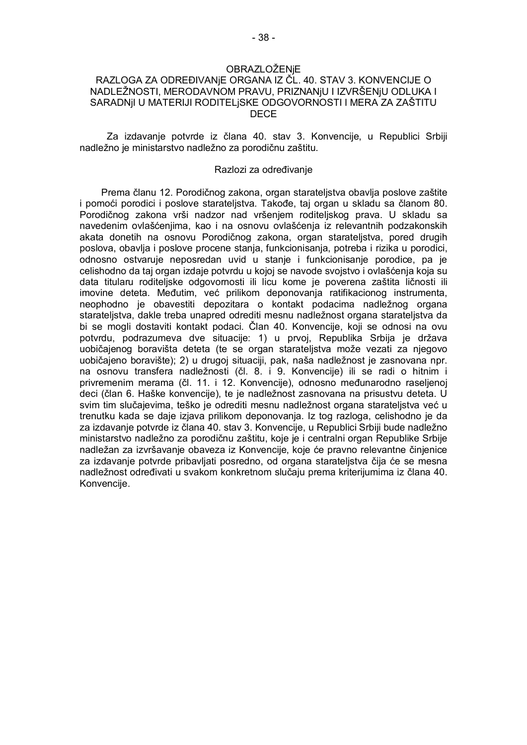### RAZLOGA ZA ODREĐIVANJE ORGANA IZ ČL. 40. STAV 3. KONVENCIJE O NADLEŽNOSTI, MERODAVNOM PRAVU, PRIZNANJU I IZVRŠENJU ODLUKA I SARADNII U MATERIJI RODITELISKE ODGOVORNOSTI I MERA ZA ZAŠTITU **DECE**

Za izdavanje potvrde iz člana 40. stav 3. Konvencije, u Republici Srbiji nadležno je ministarstvo nadležno za porodičnu zaštitu.

#### Razlozi za određivanje

Prema članu 12. Porodičnog zakona, organ starateljstva obavlja poslove zaštite i pomoći porodici i poslove starateljstva. Takođe, taj organ u skladu sa članom 80. Porodičnog zakona vrši nadzor nad vršenjem roditeljskog prava. U skladu sa navedenim ovlašćenjima, kao i na osnovu ovlašćenja iz relevantnih podzakonskih akata donetih na osnovu Porodičnog zakona, organ starateljstva, pored drugih poslova, obavlia i poslove procene stania, funkcionisania, potreba i rizika u porodici, odnosno ostvaruje neposredan uvid u stanje i funkcionisanje porodice, pa je celishodno da taj organ izdaje potvrdu u kojoj se navode svojstvo i ovlašćenja koja su data titularu roditeliske odgovornosti ili licu kome je poverena zaštita ličnosti ili imovine deteta. Međutim, već prilikom deponovanja ratifikacionog instrumenta, neophodno je obavestiti depozitara o kontakt podacima nadležnog organa staratelistva, dakle treba unapred odrediti mesnu nadležnost organa staratelistva da bi se mogli dostaviti kontakt podaci. Član 40. Konvencije, koji se odnosi na ovu potvrdu, podrazumeva dve situacije: 1) u prvoj, Republika Srbija je država uobičajenog boravišta deteta (te se organ starateljstva može vezati za njegovo uobičajeno boravište); 2) u drugoj situaciji, pak, naša nadležnost je zasnovana npr. na osnovu transfera nadležnosti (čl. 8. i 9. Konvencije) ili se radi o hitnim i privremenim merama (čl. 11. i 12. Konvencije), odnosno međunarodno raseljenoj deci (član 6. Haške konvencije), te je nadležnost zasnovana na prisustvu deteta. U svim tim slučajevima, teško je odrediti mesnu nadležnost organa starateljstva već u trenutku kada se daje izjava prilikom deponovanja. Iz tog razloga, celishodno je da za izdavanje potvrde iz člana 40. stav 3. Konvencije, u Republici Srbiji bude nadležno ministarstvo nadležno za porodičnu zaštitu, koje je i centralni organ Republike Srbije nadležan za izvršavanje obaveza iz Konvencije, koje će pravno relevantne činjenice za izdavanje potvrde pribavljati posredno, od organa starateljstva čija će se mesna nadležnost određivati u svakom konkretnom slučaju prema kriterijumima iz člana 40. Konvencije.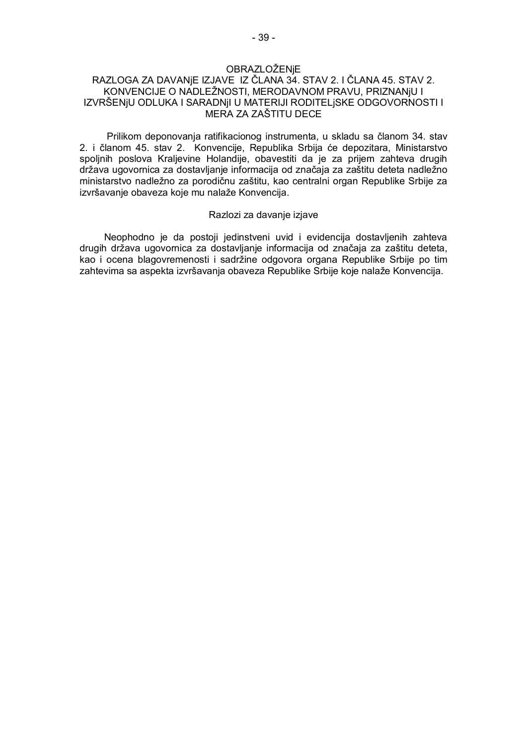### RAZLOGA ZA DAVANJE IZJAVE IZ ČLANA 34. STAV 2. I ČLANA 45. STAV 2. KONVENCIJE O NADLEŽNOSTI, MERODAVNOM PRAVU, PRIZNANJU I IZVRŠENIU ODLUKA I SARADNII U MATERIJI RODITELISKE ODGOVORNOSTI I MERA ZA ZAŠTITU DECE

Prilikom deponovanja ratifikacionog instrumenta, u skladu sa članom 34. stav 2. i članom 45. stav 2. Konvencije, Republika Srbija će depozitara, Ministarstvo spoljnih poslova Kraljevine Holandije, obavestiti da je za prijem zahteva drugih država ugovornica za dostavljanje informacija od značaja za zaštitu deteta nadležno ministarstvo nadležno za porodičnu zaštitu, kao centralni organ Republike Srbije za izvršavanje obaveza koje mu nalaže Konvencija.

#### Razlozi za davanje izjave

Neophodno je da postoji jedinstveni uvid i evidencija dostavljenih zahteva drugih država ugovornica za dostavljanje informacija od značaja za zaštitu deteta. kao i ocena blagovremenosti i sadržine odgovora organa Republike Srbije po tim zahtevima sa aspekta izvršavanja obaveza Republike Srbije koje nalaže Konvencija.